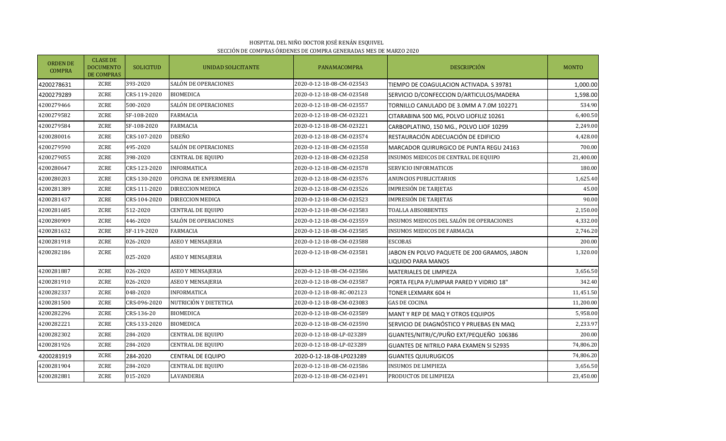|                                  | SECCIÓN DE COMPRAS ÓRDENES DE COMPRA GENERADAS MES DE MARZO 2020 |                  |                          |                           |                                                                   |              |  |  |  |
|----------------------------------|------------------------------------------------------------------|------------------|--------------------------|---------------------------|-------------------------------------------------------------------|--------------|--|--|--|
| <b>ORDEN DE</b><br><b>COMPRA</b> | <b>CLASE DE</b><br><b>DOCUMENTO</b><br><b>DE COMPRAS</b>         | <b>SOLICITUD</b> | UNIDAD SOLICITANTE       | <b>PANAMACOMPRA</b>       | <b>DESCRIPCIÓN</b>                                                | <b>MONTO</b> |  |  |  |
| 4200278631                       | ZCRE                                                             | 393-2020         | SALÓN DE OPERACIONES     | 2020-0-12-18-08-CM-023543 | TIEMPO DE COAGULACION ACTIVADA. S 39781                           | 1,000.00     |  |  |  |
| 4200279289                       | ZCRE                                                             | CRS-119-2020     | <b>BIOMEDICA</b>         | 2020-0-12-18-08-CM-023548 | SERVICIO D/CONFECCION D/ARTICULOS/MADERA                          | 1,598.00     |  |  |  |
| 4200279466                       | ZCRE                                                             | 500-2020         | SALÓN DE OPERACIONES     | 2020-0-12-18-08-CM-023557 | TORNILLO CANULADO DE 3.0MM A 7.0M 102271                          | 534.90       |  |  |  |
| 4200279582                       | ZCRE                                                             | SF-108-2020      | <b>FARMACIA</b>          | 2020-0-12-18-08-CM-023221 | CITARABINA 500 MG, POLVO LIOFILIZ 10261                           | 6,400.50     |  |  |  |
| 4200279584                       | ZCRE                                                             | SF-108-2020      | <b>FARMACIA</b>          | 2020-0-12-18-08-CM-023221 | CARBOPLATINO, 150 MG., POLVO LIOF 10299                           | 2,249.00     |  |  |  |
| 4200280016                       | ZCRE                                                             | CRS-107-2020     | DISEÑO                   | 2020-0-12-18-08-CM-023574 | RESTAURACIÓN ADECUACIÓN DE EDIFICIO                               | 4,428.00     |  |  |  |
| 4200279590                       | ZCRE                                                             | 495-2020         | SALÓN DE OPERACIONES     | 2020-0-12-18-08-CM-023558 | MARCADOR QUIRURGICO DE PUNTA REGU 24163                           | 700.00       |  |  |  |
| 4200279055                       | ZCRE                                                             | 398-2020         | <b>CENTRAL DE EQUIPO</b> | 2020-0-12-18-08-CM-023258 | INSUMOS MEDICOS DE CENTRAL DE EQUIPO                              | 21,400.00    |  |  |  |
| 4200280647                       | ZCRE                                                             | CRS-123-2020     | <b>INFORMATICA</b>       | 2020-0-12-18-08-CM-023578 | SERVICIO INFORMATICOS                                             | 180.00       |  |  |  |
| 4200280203                       | ZCRE                                                             | CRS-130-2020     | OFICINA DE ENFERMERIA    | 2020-0-12-18-08-CM-023576 | ANUNCIOS PUBLICITARIOS                                            | 1,625.40     |  |  |  |
| 4200281389                       | ZCRE                                                             | CRS-111-2020     | DIRECCION MEDICA         | 2020-0-12-18-08-CM-023526 | <b>IMPRESIÓN DE TARJETAS</b>                                      | 45.00        |  |  |  |
| 4200281437                       | ZCRE                                                             | CRS-104-2020     | DIRECCION MEDICA         | 2020-0-12-18-08-CM-023523 | <b>IMPRESIÓN DE TARJETAS</b>                                      | 90.00        |  |  |  |
| 4200281685                       | ZCRE                                                             | 512-2020         | <b>CENTRAL DE EQUIPO</b> | 2020-0-12-18-08-CM-023583 | <b>TOALLA ABSORBENTES</b>                                         | 2,150.00     |  |  |  |
| 4200280909                       | ZCRE                                                             | 446-2020         | SALÓN DE OPERACIONES     | 2020-0-12-18-08-CM-023559 | INSUMOS MEDICOS DEL SALÓN DE OPERACIONES                          | 4,332.00     |  |  |  |
| 4200281632                       | ZCRE                                                             | SF-119-2020      | <b>FARMACIA</b>          | 2020-0-12-18-08-CM-023585 | <b>INSUMOS MEDICOS DE FARMACIA</b>                                | 2,746.20     |  |  |  |
| 4200281918                       | ZCRE                                                             | 026-2020         | <b>ASEO Y MENSAJERIA</b> | 2020-0-12-18-08-CM-023588 | <b>ESCOBAS</b>                                                    | 200.00       |  |  |  |
| 4200282186                       | ZCRE                                                             | 025-2020         | <b>ASEO Y MENSAJERIA</b> | 2020-0-12-18-08-CM-023581 | JABON EN POLVO PAQUETE DE 200 GRAMOS, JABON<br>LIQUIDO PARA MANOS | 1,320.00     |  |  |  |
| 4200281887                       | ZCRE                                                             | 026-2020         | <b>ASEO Y MENSAJERIA</b> | 2020-0-12-18-08-CM-023586 | MATERIALES DE LIMPIEZA                                            | 3,656.50     |  |  |  |
| 4200281910                       | ZCRE                                                             | 026-2020         | <b>ASEO Y MENSAJERIA</b> | 2020-0-12-18-08-CM-023587 | PORTA FELPA P/LIMPIAR PARED Y VIDRIO 18"                          | 342.40       |  |  |  |
| 4200282337                       | ZCRE                                                             | 048-2020         | <b>INFORMATICA</b>       | 2020-0-12-18-08-RC-002123 | TONER LEXMARK 604 H                                               | 11,451.50    |  |  |  |
| 4200281500                       | ZCRE                                                             | CRS-096-2020     | NUTRICIÓN Y DIETETICA    | 2020-0-12-18-08-CM-023083 | <b>GAS DE COCINA</b>                                              | 11,200.00    |  |  |  |
| 4200282296                       | ZCRE                                                             | CRS-136-20       | <b>BIOMEDICA</b>         | 2020-0-12-18-08-CM-023589 | MANT Y REP DE MAQ Y OTROS EQUIPOS                                 | 5,958.00     |  |  |  |
| 4200282221                       | ZCRE                                                             | CRS-133-2020     | <b>BIOMEDICA</b>         | 2020-0-12-18-08-CM-023590 | SERVICIO DE DIAGNÓSTICO Y PRUEBAS EN MAQ                          | 2,233.97     |  |  |  |
| 4200282302                       | ZCRE                                                             | 284-2020         | <b>CENTRAL DE EQUIPO</b> | 2020-0-12-18-08-LP-023289 | GUANTES/NITRI/C/PUÑO EXT/PEQUEÑO 106386                           | 200.00       |  |  |  |
| 4200281926                       | ZCRE                                                             | 284-2020         | <b>CENTRAL DE EQUIPO</b> | 2020-0-12-18-08-LP-023289 | GUANTES DE NITRILO PARA EXAMEN SI 52935                           | 74,806.20    |  |  |  |
| 4200281919                       | ZCRE                                                             | 284-2020         | CENTRAL DE EQUIPO        | 2020-0-12-18-08-LP023289  | <b>GUANTES QUIURUGICOS</b>                                        | 74,806.20    |  |  |  |
| 4200281904                       | ZCRE                                                             | 284-2020         | <b>CENTRAL DE EQUIPO</b> | 2020-0-12-18-08-CM-023586 | <b>INSUMOS DE LIMPIEZA</b>                                        | 3,656.50     |  |  |  |
| 4200282881                       | ZCRE                                                             | 015-2020         | LAVANDERIA               | 2020-0-12-18-08-CM-023491 | PRODUCTOS DE LIMPIEZA                                             | 23,450.00    |  |  |  |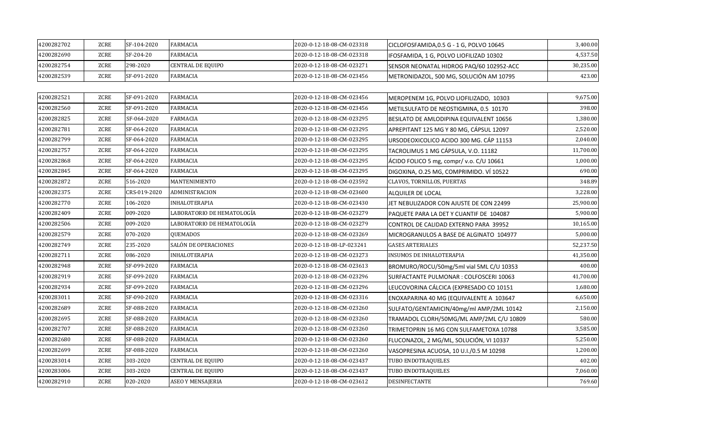| 4200282702 | ZCRE        | SF-104-2020 | <b>FARMACIA</b>   | 2020-0-12-18-08-CM-023318 | CICLOFOSFAMIDA, 0.5 G - 1 G, POLVO 10645 | 3,400.00  |
|------------|-------------|-------------|-------------------|---------------------------|------------------------------------------|-----------|
| 4200282690 | <b>ZCRE</b> | SF-204-20   | FARMACIA          | 2020-0-12-18-08-CM-023318 | IFOSFAMIDA, 1 G, POLVO LIOFILIZAD 10302  | 4,537.50  |
| 4200282754 | ZCRE        | 298-2020    | CENTRAL DE EQUIPO | 2020-0-12-18-08-CM-023271 | SENSOR NEONATAL HIDROG PAQ/60 102952-ACC | 30,235.00 |
| 4200282539 | ZCRE        | SF-091-2020 | <b>FARMACIA</b>   | 2020-0-12-18-08-CM-023456 | METRONIDAZOL, 500 MG, SOLUCIÓN AM 10795  | 423.00    |

| 4200282521 | ZCRE        | SF-091-2020  | <b>FARMACIA</b>            | 2020-0-12-18-08-CM-023456 | MEROPENEM 1G, POLVO LIOFILIZADO, 10303   | 9,675.00  |
|------------|-------------|--------------|----------------------------|---------------------------|------------------------------------------|-----------|
| 4200282560 | <b>ZCRE</b> | SF-091-2020  | <b>FARMACIA</b>            | 2020-0-12-18-08-CM-023456 | METILSULFATO DE NEOSTIGMINA, 0.5 10170   | 398.00    |
| 4200282825 | <b>ZCRE</b> | SF-064-2020  | <b>FARMACIA</b>            | 2020-0-12-18-08-CM-023295 | BESILATO DE AMLODIPINA EQUIVALENT 10656  | 1,380.00  |
| 4200282781 | ZCRE        | SF-064-2020  | <b>FARMACIA</b>            | 2020-0-12-18-08-CM-023295 | APREPITANT 125 MG Y 80 MG, CÁPSUL 12097  | 2,520.00  |
| 4200282799 | <b>ZCRE</b> | SF-064-2020  | <b>FARMACIA</b>            | 2020-0-12-18-08-CM-023295 | URSODEOXICOLICO ACIDO 300 MG. CÁP 11153  | 2,040.00  |
| 4200282757 | ZCRE        | SF-064-2020  | <b>FARMACIA</b>            | 2020-0-12-18-08-CM-023295 | TACROLIMUS 1 MG CÁPSULA, V.O. 11182      | 11,700.00 |
| 4200282868 | ZCRE        | SF-064-2020  | <b>FARMACIA</b>            | 2020-0-12-18-08-CM-023295 | ÁCIDO FOLICO 5 mg, compr/ v.o. C/U 10661 | 1,000.00  |
| 4200282845 | <b>ZCRE</b> | SF-064-2020  | <b>FARMACIA</b>            | 2020-0-12-18-08-CM-023295 | DIGOXINA, O.25 MG, COMPRIMIDO. VÍ 10522  | 690.00    |
| 4200282872 | ZCRE        | 516-2020     | <b>MANTENIMIENTO</b>       | 2020-0-12-18-08-CM-023592 | CLAVOS, TORNILLOS, PUERTAS               | 348.89    |
| 4200282375 | <b>ZCRE</b> | CRS-019-2020 | ADMINISTRACION             | 2020-0-12-18-08-CM-023600 | ALQUILER DE LOCAL                        | 3,228.00  |
| 4200282770 | <b>ZCRE</b> | 106-2020     | <b>INHALOTERAPIA</b>       | 2020-0-12-18-08-CM-023430 | JET NEBULIZADOR CON AJUSTE DE CON 22499  | 25,900.00 |
| 4200282409 | <b>ZCRE</b> | 009-2020     | LABORATORIO DE HEMATOLOGÍA | 2020-0-12-18-08-CM-023279 | PAQUETE PARA LA DET Y CUANTIF DE 104087  | 5,900.00  |
| 4200282506 | <b>ZCRE</b> | 009-2020     | LABORATORIO DE HEMATOLOGÍA | 2020-0-12-18-08-CM-023279 | CONTROL DE CALIDAD EXTERNO PARA 39952    | 10,165.00 |
| 4200282579 | <b>ZCRE</b> | 070-2020     | QUEMADOS                   | 2020-0-12-18-08-CM-023269 | MICROGRANULOS A BASE DE ALGINATO 104977  | 5,000.00  |
| 4200282749 | <b>ZCRE</b> | 235-2020     | SALÓN DE OPERACIONES       | 2020-0-12-18-08-LP-023241 | <b>GASES ARTERIALES</b>                  | 52,237.50 |
| 4200282711 | <b>ZCRE</b> | 086-2020     | <b>INHALOTERAPIA</b>       | 2020-0-12-18-08-CM-023273 | <b>INSUMOS DE INHALOTERAPIA</b>          | 41,350.00 |
| 4200282948 | ZCRE        | SF-099-2020  | <b>FARMACIA</b>            | 2020-0-12-18-08-CM-023613 | BROMURO/ROCU/50mg/5ml vial 5ML C/U 10353 | 400.00    |
| 4200282919 | <b>ZCRE</b> | SF-099-2020  | <b>FARMACIA</b>            | 2020-0-12-18-08-CM-023296 | SURFACTANTE PULMONAR : COLFOSCERI 10063  | 41,700.00 |
| 4200282934 | ZCRE        | SF-099-2020  | <b>FARMACIA</b>            | 2020-0-12-18-08-CM-023296 | LEUCOVORINA CÁLCICA (EXPRESADO CO 10151  | 1,680.00  |
| 4200283011 | ZCRE        | SF-090-2020  | <b>FARMACIA</b>            | 2020-0-12-18-08-CM-023316 | ENOXAPARINA 40 MG (EQUIVALENTE A 103647  | 6,650.00  |
| 4200282689 | <b>ZCRE</b> | SF-088-2020  | <b>FARMACIA</b>            | 2020-0-12-18-08-CM-023260 | SULFATO/GENTAMICIN/40mg/ml AMP/2ML 10142 | 2,150.00  |
| 4200282695 | ZCRE        | SF-088-2020  | <b>FARMACIA</b>            | 2020-0-12-18-08-CM-023260 | TRAMADOL CLORH/50MG/ML AMP/2ML C/U 10809 | 580.00    |
| 4200282707 | ZCRE        | SF-088-2020  | <b>FARMACIA</b>            | 2020-0-12-18-08-CM-023260 | TRIMETOPRIN 16 MG CON SULFAMETOXA 10788  | 3,585.00  |
| 4200282680 | <b>ZCRE</b> | SF-088-2020  | <b>FARMACIA</b>            | 2020-0-12-18-08-CM-023260 | FLUCONAZOL, 2 MG/ML, SOLUCIÓN, VI 10337  | 5,250.00  |
| 4200282699 | <b>ZCRE</b> | SF-088-2020  | <b>FARMACIA</b>            | 2020-0-12-18-08-CM-023260 | VASOPRESINA ACUOSA, 10 U.I./0.5 M 10298  | 1,200.00  |
| 4200283014 | ZCRE        | 303-2020     | <b>CENTRAL DE EQUIPO</b>   | 2020-0-12-18-08-CM-023437 | TUBO ENDOTRAQUELES                       | 402.00    |
| 4200283006 | ZCRE        | 303-2020     | <b>CENTRAL DE EQUIPO</b>   | 2020-0-12-18-08-CM-023437 | TUBO ENDOTRAQUELES                       | 7,060.00  |
| 4200282910 | ZCRE        | 020-2020     | <b>ASEO Y MENSAJERIA</b>   | 2020-0-12-18-08-CM-023612 | DESINFECTANTE                            | 769.60    |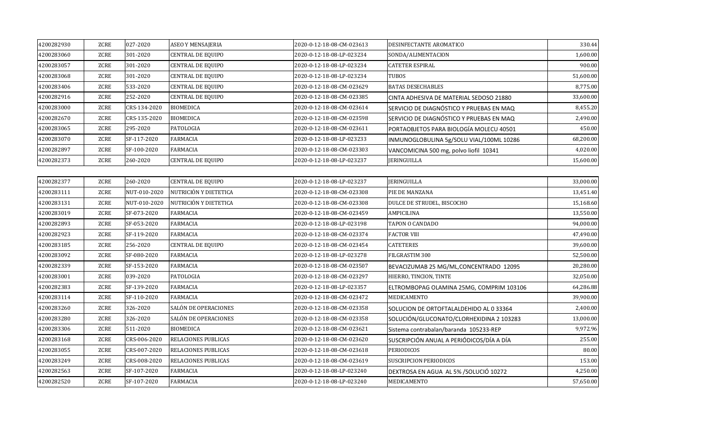| 4200282930 | ZCRE | 027-2020     | ASEO Y MENSAJERIA        | 2020-0-12-18-08-CM-023613 | DESINFECTANTE AROMATICO                   | 330.44    |
|------------|------|--------------|--------------------------|---------------------------|-------------------------------------------|-----------|
| 4200283060 | ZCRE | 301-2020     | <b>CENTRAL DE EQUIPO</b> | 2020-0-12-18-08-LP-023234 | SONDA/ALIMENTACION                        | 1,600.00  |
| 4200283057 | ZCRE | 301-2020     | <b>CENTRAL DE EQUIPO</b> | 2020-0-12-18-08-LP-023234 | <b>CATETER ESPIRAL</b>                    | 900.00    |
| 4200283068 | ZCRE | 301-2020     | <b>CENTRAL DE EQUIPO</b> | 2020-0-12-18-08-LP-023234 | <b>TUBOS</b>                              | 51,600.00 |
| 4200283406 | ZCRE | 533-2020     | <b>CENTRAL DE EQUIPO</b> | 2020-0-12-18-08-CM-023629 | <b>BATAS DESECHABLES</b>                  | 8,775.00  |
| 4200282916 | ZCRE | 252-2020     | <b>CENTRAL DE EQUIPO</b> | 2020-0-12-18-08-CM-023385 | ICINTA ADHESIVA DE MATERIAL SEDOSO 21880  | 33,600.00 |
| 4200283000 | ZCRE | CRS-134-2020 | <b>BIOMEDICA</b>         | 2020-0-12-18-08-CM-023614 | ISERVICIO DE DIAGNÓSTICO Y PRUEBAS EN MAQ | 8,455.20  |
| 4200282670 | ZCRE | CRS-135-2020 | <b>BIOMEDICA</b>         | 2020-0-12-18-08-CM-023598 | SERVICIO DE DIAGNÓSTICO Y PRUEBAS EN MAQ  | 2,490.00  |
| 4200283065 | ZCRE | 295-2020     | PATOLOGIA                | 2020-0-12-18-08-CM-023611 | PORTAOBJETOS PARA BIOLOGÍA MOLECU 40501   | 450.00    |
| 4200283070 | ZCRE | SF-117-2020  | <b>FARMACIA</b>          | 2020-0-12-18-08-LP-023233 | INMUNOGLOBULINA 5g/SOLU VIAL/100ML 10286  | 68,200.00 |
| 4200282897 | ZCRE | SF-100-2020  | <b>FARMACIA</b>          | 2020-0-12-18-08-CM-023303 | VANCOMICINA 500 mg, polvo liofil 10341    | 4,020.00  |
| 4200282373 | ZCRE | 260-2020     | <b>CENTRAL DE EQUIPO</b> | 2020-0-12-18-08-LP-023237 | <b>JERINGUILLA</b>                        | 15,600.00 |

| 4200282377 | ZCRE        | 260-2020     | <b>CENTRAL DE EQUIPO</b> | 2020-0-12-18-08-LP-023237 | <b>IERINGUILLA</b>                       | 33,000.00 |
|------------|-------------|--------------|--------------------------|---------------------------|------------------------------------------|-----------|
| 4200283111 | <b>ZCRE</b> | NUT-010-2020 | NUTRICIÓN Y DIETETICA    | 2020-0-12-18-08-CM-023308 | PIE DE MANZANA                           | 13,451.40 |
| 4200283131 | <b>ZCRE</b> | NUT-010-2020 | NUTRICIÓN Y DIETETICA    | 2020-0-12-18-08-CM-023308 | DULCE DE STRUDEL, BISCOCHO               | 15,168.60 |
| 4200283019 | ZCRE        | SF-073-2020  | <b>FARMACIA</b>          | 2020-0-12-18-08-CM-023459 | <b>AMPICILINA</b>                        | 13,550.00 |
| 4200282893 | ZCRE        | SF-053-2020  | <b>FARMACIA</b>          | 2020-0-12-18-08-LP-023198 | TAPON O CANDADO                          | 94,000.00 |
| 4200282923 | <b>ZCRE</b> | SF-119-2020  | <b>FARMACIA</b>          | 2020-0-12-18-08-CM-023374 | <b>FACTOR VIII</b>                       | 47,490.00 |
| 4200283185 | <b>ZCRE</b> | 256-2020     | <b>CENTRAL DE EQUIPO</b> | 2020-0-12-18-08-CM-023454 | <b>CATETERES</b>                         | 39,600.00 |
| 4200283092 | ZCRE        | SF-080-2020  | <b>FARMACIA</b>          | 2020-0-12-18-08-LP-023278 | FILGRASTIM 300                           | 52,500.00 |
| 4200282339 | ZCRE        | SF-153-2020  | <b>FARMACIA</b>          | 2020-0-12-18-08-CM-023507 | BEVACIZUMAB 25 MG/ML, CONCENTRADO 12095  | 20,280.00 |
| 4200283001 | <b>ZCRE</b> | 039-2020     | <b>PATOLOGIA</b>         | 2020-0-12-18-08-CM-023297 | HIERRO, TINCION, TINTE                   | 32,050.00 |
| 4200282383 | ZCRE        | SF-139-2020  | <b>FARMACIA</b>          | 2020-0-12-18-08-LP-023357 | ELTROMBOPAG OLAMINA 25MG, COMPRIM 103106 | 64,286.88 |
| 4200283114 | ZCRE        | SF-110-2020  | <b>FARMACIA</b>          | 2020-0-12-18-08-CM-023472 | MEDICAMENTO                              | 39,900.00 |
| 4200283260 | ZCRE        | 326-2020     | SALÓN DE OPERACIONES     | 2020-0-12-18-08-CM-023358 | SOLUCION DE ORTOFTALALDEHIDO AL 0 33364  | 2,400.00  |
| 4200283280 | ZCRE        | 326-2020     | SALÓN DE OPERACIONES     | 2020-0-12-18-08-CM-023358 | SOLUCIÓN/GLUCONATO/CLORHEXIDINA 2 103283 | 13,000.00 |
| 4200283306 | ZCRE        | 511-2020     | <b>BIOMEDICA</b>         | 2020-0-12-18-08-CM-023621 | Sistema contrabalan/baranda 105233-REP   | 9,972.96  |
| 4200283168 | <b>ZCRE</b> | CRS-006-2020 | RELACIONES PUBLICAS      | 2020-0-12-18-08-CM-023620 | SUSCRIPCIÓN ANUAL A PERIÓDICOS/DÍA A DÍA | 255.00    |
| 4200283055 | <b>ZCRE</b> | CRS-007-2020 | RELACIONES PUBLICAS      | 2020-0-12-18-08-CM-023618 | <b>PERIODICOS</b>                        | 80.00     |
| 4200283249 | ZCRE        | CRS-008-2020 | RELACIONES PUBLICAS      | 2020-0-12-18-08-CM-023619 | <b>SUSCRIPCION PERIODICOS</b>            | 153.00    |
| 4200282563 | <b>ZCRE</b> | SF-107-2020  | <b>FARMACIA</b>          | 2020-0-12-18-08-LP-023240 | DEXTROSA EN AGUA AL 5% / SOLUCIÓ 10272   | 4,250.00  |
| 4200282520 | ZCRE        | SF-107-2020  | <b>FARMACIA</b>          | 2020-0-12-18-08-LP-023240 | MEDICAMENTO                              | 57,650.00 |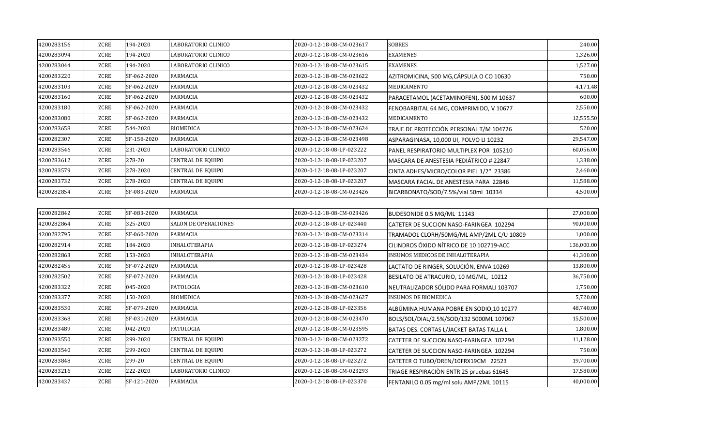| 4200283156 | ZCRE        | 194-2020    | LABORATORIO CLINICO      | 2020-0-12-18-08-CM-023617 | <b>SOBRES</b>                            | 240.00     |
|------------|-------------|-------------|--------------------------|---------------------------|------------------------------------------|------------|
| 4200283094 | ZCRE        | 194-2020    | LABORATORIO CLINICO      | 2020-0-12-18-08-CM-023616 | <b>EXAMENES</b>                          | 1,326.00   |
| 4200283044 | <b>ZCRE</b> | 194-2020    | LABORATORIO CLINICO      | 2020-0-12-18-08-CM-023615 | <b>EXAMENES</b>                          | 1,527.00   |
| 4200283220 | <b>ZCRE</b> | SF-062-2020 | <b>FARMACIA</b>          | 2020-0-12-18-08-CM-023622 | AZITROMICINA, 500 MG, CÁPSULA O CO 10630 | 750.00     |
| 4200283103 | ZCRE        | SF-062-2020 | <b>FARMACIA</b>          | 2020-0-12-18-08-CM-023432 | MEDICAMENTO                              | 4,171.48   |
| 4200283160 | ZCRE        | SF-062-2020 | <b>FARMACIA</b>          | 2020-0-12-18-08-CM-023432 | PARACETAMOL (ACETAMINOFEN), 500 M 10637  | 600.00     |
| 4200283180 | <b>ZCRE</b> | SF-062-2020 | <b>FARMACIA</b>          | 2020-0-12-18-08-CM-023432 | FENOBARBITAL 64 MG, COMPRIMIDO, V 10677  | 2,550.00   |
| 4200283080 | ZCRE        | SF-062-2020 | <b>FARMACIA</b>          | 2020-0-12-18-08-CM-023432 | MEDICAMENTO                              | 12,555.50  |
| 4200283658 | <b>ZCRE</b> | 544-2020    | <b>BIOMEDICA</b>         | 2020-0-12-18-08-CM-023624 | TRAJE DE PROTECCIÓN PERSONAL T/M 104726  | 520.00     |
| 4200282307 | <b>ZCRE</b> | SF-158-2020 | <b>FARMACIA</b>          | 2020-0-12-18-08-CM-023498 | ASPARAGINASA, 10,000 UI, POLVO LI 10232  | 29,547.00  |
| 4200283546 | ZCRE        | 231-2020    | LABORATORIO CLINICO      | 2020-0-12-18-08-LP-023222 | PANEL RESPIRATORIO MULTIPLEX POR 105210  | 60,056.00  |
| 4200283612 | ZCRE        | 278-20      | CENTRAL DE EQUIPO        | 2020-0-12-18-08-LP-023207 | MASCARA DE ANESTESIA PEDIÁTRICO # 22847  | 1,338.00   |
| 4200283579 | <b>ZCRE</b> | 278-2020    | <b>CENTRAL DE EQUIPO</b> | 2020-0-12-18-08-LP-023207 | CINTA ADHES/MICRO/COLOR PIEL 1/2" 23386  | 2,460.00   |
| 4200283732 | <b>ZCRE</b> | 278-2020    | <b>CENTRAL DE EQUIPO</b> | 2020-0-12-18-08-LP-023207 | MASCARA FACIAL DE ANESTESIA PARA 22846   | 11,588.00  |
| 4200282854 | <b>ZCRE</b> | SF-083-2020 | <b>FARMACIA</b>          | 2020-0-12-18-08-CM-023426 | BICARBONATO/SOD/7.5%/vial 50ml 10334     | 4,500.00   |
|            |             |             |                          |                           |                                          |            |
| 4200282842 | ZCRE        | SF-083-2020 | <b>FARMACIA</b>          | 2020-0-12-18-08-CM-023426 | BUDESONIDE 0.5 MG/ML 11143               | 27,000.00  |
| 4200282864 | ZCRE        | 325-2020    | SALON DE OPERACIONES     | 2020-0-12-18-08-LP-023440 | CATETER DE SUCCION NASO-FARINGEA 102294  | 90,000.00  |
| 4200282795 | <b>ZCRE</b> | SF-060-2020 | FARMACIA                 | 2020-0-12-18-08-CM-023314 | TRAMADOL CLORH/50MG/ML AMP/2ML C/U 10809 | 1,000.00   |
| 4200282914 | <b>ZCRE</b> | 184-2020    | <b>INHALOTERAPIA</b>     | 2020-0-12-18-08-LP-023274 | CILINDROS ÓXIDO NÍTRICO DE 10 102719-ACC | 136,000.00 |
| 4200282863 | <b>ZCRE</b> | 153-2020    | <b>INHALOTERAPIA</b>     | 2020-0-12-18-08-CM-023434 | <b>INSUMOS MEDICOS DE INHALOTERAPIA</b>  | 41,300.00  |
| 4200282455 | ZCRE        | SF-072-2020 | <b>FARMACIA</b>          | 2020-0-12-18-08-LP-023428 | LACTATO DE RINGER, SOLUCIÓN, ENVA 10269  | 13,800.00  |
| 4200282502 | ZCRE        | SF-072-2020 | <b>FARMACIA</b>          | 2020-0-12-18-08-LP-023428 | BESILATO DE ATRACURIO, 10 MG/ML, 10212   | 36,750.00  |
| 4200283322 | <b>ZCRE</b> | 045-2020    | PATOLOGIA                | 2020-0-12-18-08-CM-023610 | NEUTRALIZADOR SÓLIDO PARA FORMALI 103707 | 1,750.00   |
| 4200283377 | <b>ZCRE</b> | 150-2020    | <b>BIOMEDICA</b>         | 2020-0-12-18-08-CM-023627 | INSUMOS DE BIOMEDICA                     | 5,720.00   |
| 4200283530 | <b>ZCRE</b> | SF-079-2020 | <b>FARMACIA</b>          | 2020-0-12-18-08-LP-023356 | ALBÚMINA HUMANA POBRE EN SODIO, 10 10277 | 48,740.00  |
| 4200283368 | ZCRE        | SF-031-2020 | FARMACIA                 | 2020-0-12-18-08-CM-023470 | BOLS/SOL/DIAL/2.5%/SOD/132 5000ML 107067 | 15,500.00  |
| 4200283489 | ZCRE        | 042-2020    | PATOLOGIA                | 2020-0-12-18-08-CM-023595 | BATAS DES. CORTAS L/JACKET BATAS TALLA L | 1,800.00   |
| 4200283550 | <b>ZCRE</b> | 299-2020    | <b>CENTRAL DE EQUIPO</b> | 2020-0-12-18-08-CM-023272 | CATETER DE SUCCION NASO-FARINGEA 102294  | 11,128.00  |
| 4200283540 | ZCRE        | 299-2020    | <b>CENTRAL DE EQUIPO</b> | 2020-0-12-18-08-LP-023272 | CATETER DE SUCCION NASO-FARINGEA 102294  | 750.00     |
| 4200283848 | ZCRE        | 299-20      | CENTRAL DE EQUIPO        | 2020-0-12-18-08-LP-023272 | CATETER O TUBO/DREN/10FRX19CM 22523      | 19,700.00  |
| 4200283216 | ZCRE        | 222-2020    | LABORATORIO CLINICO      | 2020-0-12-18-08-CM-023293 | TRIAGE RESPIRACIÓN ENTR 25 pruebas 61645 | 17,580.00  |
| 4200283437 | ZCRE        | SF-121-2020 | <b>FARMACIA</b>          | 2020-0-12-18-08-LP-023370 | FENTANILO 0.05 mg/ml solu AMP/2ML 10115  | 40,000.00  |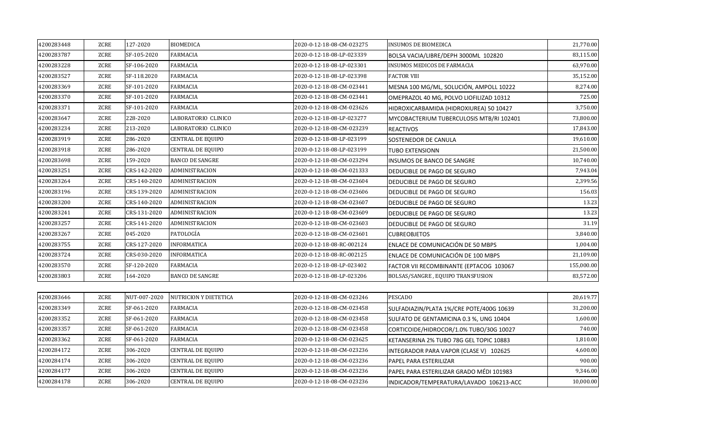| 4200283448 | ZCRE        | 127-2020     | <b>BIOMEDICA</b>         | 2020-0-12-18-08-CM-023275 | <b>INSUMOS DE BIOMEDICA</b>              | 21,770.00  |
|------------|-------------|--------------|--------------------------|---------------------------|------------------------------------------|------------|
| 4200283787 | ZCRE        | SF-105-2020  | <b>FARMACIA</b>          | 2020-0-12-18-08-LP-023339 | BOLSA VACIA/LIBRE/DEPH 3000ML 102820     | 83,115.00  |
| 4200283228 | <b>ZCRE</b> | SF-106-2020  | <b>FARMACIA</b>          | 2020-0-12-18-08-LP-023301 | INSUMOS MEDICOS DE FARMACIA              | 63,970.00  |
| 4200283527 | ZCRE        | SF-118.2020  | <b>FARMACIA</b>          | 2020-0-12-18-08-LP-023398 | <b>FACTOR VIII</b>                       | 35,152.00  |
| 4200283369 | ZCRE        | SF-101-2020  | <b>FARMACIA</b>          | 2020-0-12-18-08-CM-023441 | MESNA 100 MG/ML, SOLUCIÓN, AMPOLL 10222  | 8,274.00   |
| 4200283370 | ZCRE        | SF-101-2020  | <b>FARMACIA</b>          | 2020-0-12-18-08-CM-023441 | OMEPRAZOL 40 MG, POLVO LIOFILIZAD 10312  | 725.00     |
| 4200283371 | ZCRE        | SF-101-2020  | FARMACIA                 | 2020-0-12-18-08-CM-023626 | HIDROXICARBAMIDA (HIDROXIUREA) 50 10427  | 3,750.00   |
| 4200283647 | ZCRE        | 228-2020     | LABORATORIO CLINICO      | 2020-0-12-18-08-LP-023277 | MYCOBACTERIUM TUBERCULOSIS MTB/RI 102401 | 73,800.00  |
| 4200283234 | ZCRE        | 213-2020     | LABORATORIO CLINICO      | 2020-0-12-18-08-CM-023239 | <b>REACTIVOS</b>                         | 17,843.00  |
| 4200283919 | <b>ZCRE</b> | 286-2020     | CENTRAL DE EQUIPO        | 2020-0-12-18-08-LP-023199 | SOSTENEDOR DE CANULA                     | 19,610.00  |
| 4200283918 | ZCRE        | 286-2020     | <b>CENTRAL DE EQUIPO</b> | 2020-0-12-18-08-LP-023199 | TUBO EXTENSIONN                          | 21,500.00  |
| 4200283698 | ZCRE        | 159-2020     | <b>BANCO DE SANGRE</b>   | 2020-0-12-18-08-CM-023294 | INSUMOS DE BANCO DE SANGRE               | 10,740.00  |
| 4200283251 | ZCRE        | CRS-142-2020 | ADMINISTRACION           | 2020-0-12-18-08-CM-021333 | DEDUCIBLE DE PAGO DE SEGURO              | 7,943.04   |
| 4200283264 | ZCRE        | CRS-140-2020 | ADMINISTRACION           | 2020-0-12-18-08-CM-023604 | DEDUCIBLE DE PAGO DE SEGURO              | 2,399.56   |
| 4200283196 | ZCRE        | CRS-139-2020 | ADMINISTRACION           | 2020-0-12-18-08-CM-023606 | DEDUCIBLE DE PAGO DE SEGURO              | 156.03     |
| 4200283200 | ZCRE        | CRS-140-2020 | ADMINISTRACION           | 2020-0-12-18-08-CM-023607 | DEDUCIBLE DE PAGO DE SEGURO              | 13.23      |
| 4200283241 | ZCRE        | CRS-131-2020 | ADMINISTRACION           | 2020-0-12-18-08-CM-023609 | DEDUCIBLE DE PAGO DE SEGURO              | 13.23      |
| 4200283257 | ZCRE        | CRS-141-2020 | ADMINISTRACION           | 2020-0-12-18-08-CM-023603 | DEDUCIBLE DE PAGO DE SEGURO              | 31.19      |
| 4200283267 | ZCRE        | 045-2020     | PATOLOGÍA                | 2020-0-12-18-08-CM-023601 | <b>CUBREOBJETOS</b>                      | 3,840.00   |
| 4200283755 | ZCRE        | CRS-127-2020 | <b>INFORMATICA</b>       | 2020-0-12-18-08-RC-002124 | ENLACE DE COMUNICACIÓN DE 50 MBPS        | 1,004.00   |
| 4200283724 | ZCRE        | CRS-030-2020 | <b>INFORMATICA</b>       | 2020-0-12-18-08-RC-002125 | ENLACE DE COMUNICACIÓN DE 100 MBPS       | 21,109.00  |
| 4200283570 | ZCRE        | SF-120-2020  | <b>FARMACIA</b>          | 2020-0-12-18-08-LP-023402 | FACTOR VII RECOMBINANTE (EPTACOG 103067  | 155,000.00 |
| 4200283803 | ZCRE        | 164-2020     | <b>BANCO DE SANGRE</b>   | 2020-0-12-18-08-LP-023206 | BOLSAS/SANGRE, EQUIPO TRANSFUSION        | 83,572.00  |
|            |             |              |                          |                           |                                          |            |
| 4200283646 | ZCRE        | NUT-007-2020 | NUTRICION Y DIETETICA    | 2020-0-12-18-08-CM-023246 | PESCADO                                  | 20,619.77  |
| 4200283349 | ZCRE        | SF-061-2020  | <b>FARMACIA</b>          | 2020-0-12-18-08-CM-023458 | SULFADIAZIN/PLATA 1%/CRE POTE/400G 10639 | 31,200.00  |
| 4200283352 | ZCRE        | SF-061-2020  | <b>FARMACIA</b>          | 2020-0-12-18-08-CM-023458 | SULFATO DE GENTAMICINA 0.3 %, UNG 10404  | 1,600.00   |
| 4200283357 | ZCRE        | SF-061-2020  | <b>FARMACIA</b>          | 2020-0-12-18-08-CM-023458 | CORTICOIDE/HIDROCOR/1.0% TUBO/30G 10027  | 740.00     |
| 4200283362 | ZCRE        | SF-061-2020  | <b>FARMACIA</b>          | 2020-0-12-18-08-CM-023625 | KETANSERINA 2% TUBO 78G GEL TOPIC 10883  | 1,810.00   |
| 4200284172 | ZCRE        | 306-2020     | <b>CENTRAL DE EQUIPO</b> | 2020-0-12-18-08-CM-023236 | INTEGRADOR PARA VAPOR (CLASE V) 102625   | 4,600.00   |
| 4200284174 | ZCRE        | 306-2020     | CENTRAL DE EQUIPO        | 2020-0-12-18-08-CM-023236 | PAPEL PARA ESTERILIZAR                   | 900.00     |
| 4200284177 | ZCRE        | 306-2020     | <b>CENTRAL DE EQUIPO</b> | 2020-0-12-18-08-CM-023236 | PAPEL PARA ESTERILIZAR GRADO MÉDI 101983 | 9,346.00   |
| 4200284178 | ZCRE        | 306-2020     | <b>CENTRAL DE EQUIPO</b> | 2020-0-12-18-08-CM-023236 | INDICADOR/TEMPERATURA/LAVADO 106213-ACC  | 10,000.00  |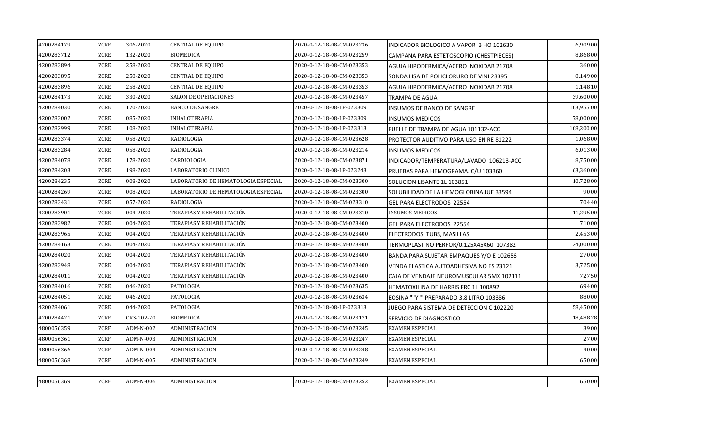| 4200284179 | <b>ZCRE</b> | 306-2020   | <b>CENTRAL DE EQUIPO</b>            | 2020-0-12-18-08-CM-023236 | INDICADOR BIOLOGICO A VAPOR 3 HO 102630  | 6,909.00   |
|------------|-------------|------------|-------------------------------------|---------------------------|------------------------------------------|------------|
| 4200283712 | ZCRE        | 132-2020   | <b>BIOMEDICA</b>                    | 2020-0-12-18-08-CM-023259 | CAMPANA PARA ESTETOSCOPIO (CHESTPIECES)  | 8,868.00   |
| 4200283894 | ZCRE        | 258-2020   | <b>CENTRAL DE EQUIPO</b>            | 2020-0-12-18-08-CM-023353 | AGUJA HIPODERMICA/ACERO INOXIDAB 21708   | 360.00     |
| 4200283895 | ZCRE        | 258-2020   | <b>CENTRAL DE EQUIPO</b>            | 2020-0-12-18-08-CM-023353 | SONDA LISA DE POLICLORURO DE VINI 23395  | 8,149.00   |
| 4200283896 | ZCRE        | 258-2020   | <b>CENTRAL DE EQUIPO</b>            | 2020-0-12-18-08-CM-023353 | AGUJA HIPODERMICA/ACERO INOXIDAB 21708   | 1,148.10   |
| 4200284173 | ZCRE        | 330-2020   | <b>SALON DE OPERACIONES</b>         | 2020-0-12-18-08-CM-023457 | TRAMPA DE AGUA                           | 39,600.00  |
| 4200284030 | <b>ZCRE</b> | 170-2020   | <b>BANCO DE SANGRE</b>              | 2020-0-12-18-08-LP-023309 | INSUMOS DE BANCO DE SANGRE               | 103,955.00 |
| 4200283002 | ZCRE        | 085-2020   | <b>INHALOTERAPIA</b>                | 2020-0-12-18-08-LP-023309 | <b>INSUMOS MEDICOS</b>                   | 78,000.00  |
| 4200282999 | <b>ZCRE</b> | 108-2020   | <b>INHALOTERAPIA</b>                | 2020-0-12-18-08-LP-023313 | FUELLE DE TRAMPA DE AGUA 101132-ACC      | 108,200.00 |
| 4200283374 | <b>ZCRE</b> | 058-2020   | RADIOLOGIA                          | 2020-0-12-18-08-CM-023628 | PROTECTOR AUDITIVO PARA USO EN RE 81222  | 1,068.00   |
| 4200283284 | ZCRE        | 058-2020   | RADIOLOGIA                          | 2020-0-12-18-08-CM-023214 | <b>INSUMOS MEDICOS</b>                   | 6,013.00   |
| 4200284078 | ZCRE        | 178-2020   | CARDIOLOGIA                         | 2020-0-12-18-08-CM-023871 | INDICADOR/TEMPERATURA/LAVADO 106213-ACC  | 8,750.00   |
| 4200284203 | <b>ZCRE</b> | 198-2020   | LABORATORIO CLINICO                 | 2020-0-12-18-08-LP-023243 | PRUEBAS PARA HEMOGRAMA. C/U 103360       | 63,360.00  |
| 4200284235 | ZCRE        | 008-2020   | LABORATORIO DE HEMATOLOGIA ESPECIAL | 2020-0-12-18-08-CM-023300 | SOLUCION LISANTE 1L 103851               | 10,728.00  |
| 4200284269 | ZCRE        | 008-2020   | LABORATORIO DE HEMATOLOGIA ESPECIAL | 2020-0-12-18-08-CM-023300 | SOLUBILIDAD DE LA HEMOGLOBINA JUE 33594  | 90.00      |
| 4200283431 | <b>ZCRE</b> | 057-2020   | RADIOLOGIA                          | 2020-0-12-18-08-CM-023310 | GEL PARA ELECTRODOS 22554                | 704.40     |
| 4200283901 | ZCRE        | 004-2020   | TERAPIAS Y REHABILITACIÓN           | 2020-0-12-18-08-CM-023310 | <b>INSUMOS MEDICOS</b>                   | 11,295.00  |
| 4200283982 | <b>ZCRE</b> | 004-2020   | TERAPIAS Y REHABILITACIÓN           | 2020-0-12-18-08-CM-023400 | GEL PARA ELECTRODOS 22554                | 710.00     |
| 4200283965 | ZCRE        | 004-2020   | TERAPIAS Y REHABILITACIÓN           | 2020-0-12-18-08-CM-023400 | ELECTRODOS, TUBS, MASILLAS               | 2,453.00   |
| 4200284163 | ZCRE        | 004-2020   | TERAPIAS Y REHABILITACIÓN           | 2020-0-12-18-08-CM-023400 | TERMOPLAST NO PERFOR/0.125X45X60 107382  | 24,000.00  |
| 4200284020 | ZCRE        | 004-2020   | TERAPIAS Y REHABILITACIÓN           | 2020-0-12-18-08-CM-023400 | BANDA PARA SUJETAR EMPAQUES Y/O E 102656 | 270.00     |
| 4200283948 | ZCRE        | 004-2020   | TERAPIAS Y REHABILITACIÓN           | 2020-0-12-18-08-CM-023400 | VENDA ELASTICA AUTOADHESIVA NO ES 23121  | 3,725.00   |
| 4200284011 | ZCRE        | 004-2020   | TERAPIAS Y REHABILITACIÓN           | 2020-0-12-18-08-CM-023400 | CAJA DE VENDAJE NEUROMUSCULAR 5MX 102111 | 727.50     |
| 4200284016 | ZCRE        | 046-2020   | PATOLOGIA                           | 2020-0-12-18-08-CM-023635 | HEMATOXILINA DE HARRIS FRC 1L 100892     | 694.00     |
| 4200284051 | ZCRE        | 046-2020   | PATOLOGIA                           | 2020-0-12-18-08-CM-023634 | EOSINA ""Y"" PREPARADO 3.8 LITRO 103386  | 880.00     |
| 4200284061 | ZCRE        | 044-2020   | PATOLOGIA                           | 2020-0-12-18-08-LP-023313 | JUEGO PARA SISTEMA DE DETECCION C 102220 | 58,450.00  |
| 4200284421 | ZCRE        | CRS-102-20 | <b>BIOMEDICA</b>                    | 2020-0-12-18-08-CM-023171 | SERVICIO DE DIAGNOSTICO                  | 18,488.28  |
| 4800056359 | ZCRF        | ADM-N-002  | ADMINISTRACION                      | 2020-0-12-18-08-CM-023245 | EXAMEN ESPECIAL                          | 39.00      |
| 4800056361 | <b>ZCRF</b> | ADM-N-003  | ADMINISTRACION                      | 2020-0-12-18-08-CM-023247 | <b>EXAMEN ESPECIAL</b>                   | 27.00      |
| 4800056366 | ZCRF        | ADM-N-004  | ADMINISTRACION                      | 2020-0-12-18-08-CM-023248 | EXAMEN ESPECIAL                          | 40.00      |
| 4800056368 | ZCRF        | ADM-N-005  | ADMINISTRACION                      | 2020-0-12-18-08-CM-023249 | <b>EXAMEN ESPECIAL</b>                   | 650.00     |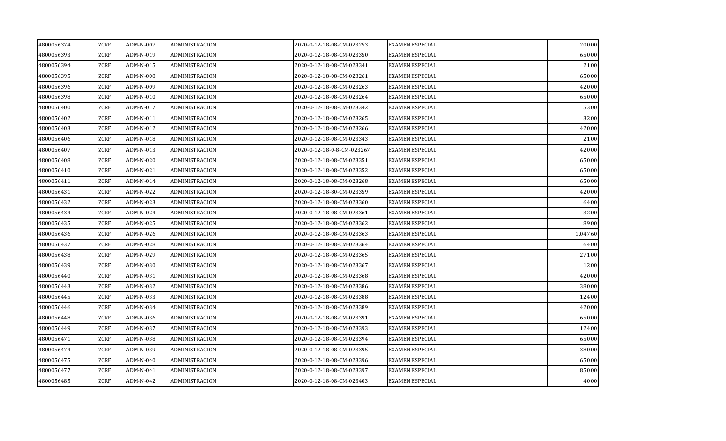| 4800056374 | ZCRF        | ADM-N-007 | ADMINISTRACION | 2020-0-12-18-08-CM-023253  | <b>EXAMEN ESPECIAL</b> | 200.00   |
|------------|-------------|-----------|----------------|----------------------------|------------------------|----------|
| 4800056393 | ZCRF        | ADM-N-019 | ADMINISTRACION | 2020-0-12-18-08-CM-023350  | <b>EXAMEN ESPECIAL</b> | 650.00   |
| 4800056394 | ZCRF        | ADM-N-015 | ADMINISTRACION | 2020-0-12-18-08-CM-023341  | <b>EXAMEN ESPECIAL</b> | 21.00    |
| 4800056395 | ZCRF        | ADM-N-008 | ADMINISTRACION | 2020-0-12-18-08-CM-023261  | <b>EXAMEN ESPECIAL</b> | 650.00   |
| 4800056396 | ZCRF        | ADM-N-009 | ADMINISTRACION | 2020-0-12-18-08-CM-023263  | <b>EXAMEN ESPECIAL</b> | 420.00   |
| 4800056398 | ZCRF        | ADM-N-010 | ADMINISTRACION | 2020-0-12-18-08-CM-023264  | <b>EXAMEN ESPECIAL</b> | 650.00   |
| 4800056400 | ZCRF        | ADM-N-017 | ADMINISTRACION | 2020-0-12-18-08-CM-023342  | <b>EXAMEN ESPECIAL</b> | 53.00    |
| 4800056402 | ZCRF        | ADM-N-011 | ADMINISTRACION | 2020-0-12-18-08-CM-023265  | <b>EXAMEN ESPECIAL</b> | 32.00    |
| 4800056403 | ZCRF        | ADM-N-012 | ADMINISTRACION | 2020-0-12-18-08-CM-023266  | <b>EXAMEN ESPECIAL</b> | 420.00   |
| 4800056406 | ZCRF        | ADM-N-018 | ADMINISTRACION | 2020-0-12-18-08-CM-023343  | <b>EXAMEN ESPECIAL</b> | 21.00    |
| 4800056407 | ZCRF        | ADM-N-013 | ADMINISTRACION | 2020-0-12-18-0-8-CM-023267 | <b>EXAMEN ESPECIAL</b> | 420.00   |
| 4800056408 | ZCRF        | ADM-N-020 | ADMINISTRACION | 2020-0-12-18-08-CM-023351  | <b>EXAMEN ESPECIAL</b> | 650.00   |
| 4800056410 | ZCRF        | ADM-N-021 | ADMINISTRACION | 2020-0-12-18-08-CM-023352  | <b>EXAMEN ESPECIAL</b> | 650.00   |
| 4800056411 | ZCRF        | ADM-N-014 | ADMINISTRACION | 2020-0-12-18-08-CM-023268  | <b>EXAMEN ESPECIAL</b> | 650.00   |
| 4800056431 | ZCRF        | ADM-N-022 | ADMINISTRACION | 2020-0-12-18-80-CM-023359  | <b>EXAMEN ESPECIAL</b> | 420.00   |
| 4800056432 | ZCRF        | ADM-N-023 | ADMINISTRACION | 2020-0-12-18-08-CM-023360  | <b>EXAMEN ESPECIAL</b> | 64.00    |
| 4800056434 | <b>ZCRF</b> | ADM-N-024 | ADMINISTRACION | 2020-0-12-18-08-CM-023361  | <b>EXAMEN ESPECIAL</b> | 32.00    |
| 4800056435 | ZCRF        | ADM-N-025 | ADMINISTRACION | 2020-0-12-18-08-CM-023362  | <b>EXAMEN ESPECIAL</b> | 89.00    |
| 4800056436 | ZCRF        | ADM-N-026 | ADMINISTRACION | 2020-0-12-18-08-CM-023363  | <b>EXAMEN ESPECIAL</b> | 1,047.60 |
| 4800056437 | ZCRF        | ADM-N-028 | ADMINISTRACION | 2020-0-12-18-08-CM-023364  | <b>EXAMEN ESPECIAL</b> | 64.00    |
| 4800056438 | ZCRF        | ADM-N-029 | ADMINISTRACION | 2020-0-12-18-08-CM-023365  | <b>EXAMEN ESPECIAL</b> | 271.00   |
| 4800056439 | ZCRF        | ADM-N-030 | ADMINISTRACION | 2020-0-12-18-08-CM-023367  | <b>EXAMEN ESPECIAL</b> | 12.00    |
| 4800056440 | ZCRF        | ADM-N-031 | ADMINISTRACION | 2020-0-12-18-08-CM-023368  | <b>EXAMEN ESPECIAL</b> | 420.00   |
| 4800056443 | ZCRF        | ADM-N-032 | ADMINISTRACION | 2020-0-12-18-08-CM-023386  | <b>EXAMÉN ESPECIAL</b> | 380.00   |
| 4800056445 | ZCRF        | ADM-N-033 | ADMINISTRACION | 2020-0-12-18-08-CM-023388  | <b>EXAMEN ESPECIAL</b> | 124.00   |
| 4800056446 | ZCRF        | ADM-N-034 | ADMINISTRACION | 2020-0-12-18-08-CM-023389  | <b>EXAMEN ESPECIAL</b> | 420.00   |
| 4800056448 | ZCRF        | ADM-N-036 | ADMINISTRACION | 2020-0-12-18-08-CM-023391  | <b>EXAMEN ESPECIAL</b> | 650.00   |
| 4800056449 | ZCRF        | ADM-N-037 | ADMINISTRACION | 2020-0-12-18-08-CM-023393  | <b>EXAMEN ESPECIAL</b> | 124.00   |
| 4800056471 | ZCRF        | ADM-N-038 | ADMINISTRACION | 2020-0-12-18-08-CM-023394  | <b>EXAMEN ESPECIAL</b> | 650.00   |
| 4800056474 | ZCRF        | ADM-N-039 | ADMINISTRACION | 2020-0-12-18-08-CM-023395  | <b>EXAMEN ESPECIAL</b> | 380.00   |
| 4800056475 | ZCRF        | ADM-N-040 | ADMINISTRACION | 2020-0-12-18-08-CM-023396  | <b>EXAMEN ESPECIAL</b> | 650.00   |
| 4800056477 | ZCRF        | ADM-N-041 | ADMINISTRACION | 2020-0-12-18-08-CM-023397  | <b>EXAMEN ESPECIAL</b> | 850.00   |
| 4800056485 | <b>ZCRF</b> | ADM-N-042 | ADMINISTRACION | 2020-0-12-18-08-CM-023403  | <b>EXAMEN ESPECIAL</b> | 40.00    |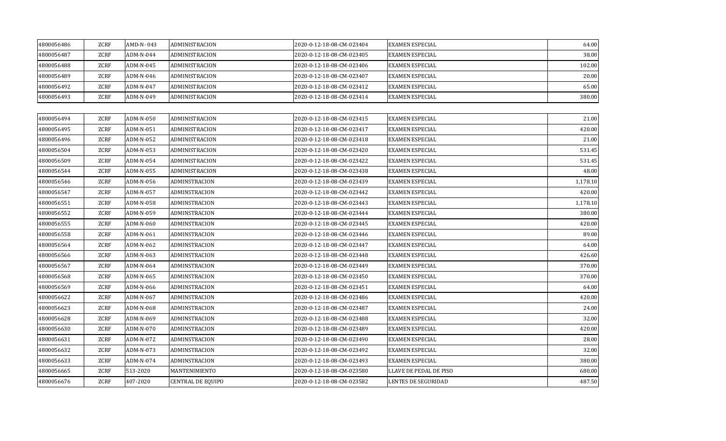| 4800056486 | ZCRF        | AMD-N-043 | ADMINISTRACION           | 2020-0-12-18-08-CM-023404 | <b>EXAMEN ESPECIAL</b> | 64.00    |
|------------|-------------|-----------|--------------------------|---------------------------|------------------------|----------|
| 4800056487 | <b>ZCRF</b> | ADM-N-044 | ADMINISTRACION           | 2020-0-12-18-08-CM-023405 | <b>EXAMEN ESPECIAL</b> | 38.00    |
| 4800056488 | ZCRF        | ADM-N-045 | ADMINISTRACION           | 2020-0-12-18-08-CM-023406 | EXAMEN ESPECIAL        | 102.00   |
| 4800056489 | ZCRF        | ADM-N-046 | ADMINISTRACION           | 2020-0-12-18-08-CM-023407 | <b>EXAMEN ESPECIAL</b> | 20.00    |
| 4800056492 | ZCRF        | ADM-N-047 | ADMINISTRACION           | 2020-0-12-18-08-CM-023412 | <b>EXAMEN ESPECIAL</b> | 65.00    |
| 4800056493 | <b>ZCRF</b> | ADM-N-049 | ADMINISTRACION           | 2020-0-12-18-08-CM-023414 | EXAMEN ESPECIAL        | 380.00   |
|            |             |           |                          |                           |                        |          |
| 4800056494 | <b>ZCRF</b> | ADM-N-050 | ADMINISTRACION           | 2020-0-12-18-08-CM-023415 | <b>EXAMEN ESPECIAL</b> | 21.00    |
| 4800056495 | ZCRF        | ADM-N-051 | ADMINISTRACION           | 2020-0-12-18-08-CM-023417 | <b>EXAMEN ESPECIAL</b> | 420.00   |
| 4800056496 | ZCRF        | ADM-N-052 | ADMINISTRACION           | 2020-0-12-18-08-CM-023418 | <b>EXAMEN ESPECIAL</b> | 21.00    |
| 4800056504 | ZCRF        | ADM-N-053 | ADMINISTRACION           | 2020-0-12-18-08-CM-023420 | EXAMEN ESPECIAL        | 531.45   |
| 4800056509 | ZCRF        | ADM-N-054 | ADMINISTRACION           | 2020-0-12-18-08-CM-023422 | <b>EXAMEN ESPECIAL</b> | 531.45   |
| 4800056544 | ZCRF        | ADM-N-055 | ADMINISTRACION           | 2020-0-12-18-08-CM-023438 | EXAMEN ESPECIAL        | 48.00    |
| 4800056546 | ZCRF        | ADM-N-056 | ADMINSTRACION            | 2020-0-12-18-08-CM-023439 | EXAMEN ESPECIAL        | 1,178.10 |
| 4800056547 | ZCRF        | ADM-N-057 | ADMINSTRACION            | 2020-0-12-18-08-CM-023442 | EXAMEN ESPECIAL        | 420.00   |
| 4800056551 | ZCRF        | ADM-N-058 | ADMINSTRACION            | 2020-0-12-18-08-CM-023443 | <b>EXAMEN ESPECIAL</b> | 1,178.10 |
| 4800056552 | ZCRF        | ADM-N-059 | ADMINSTRACION            | 2020-0-12-18-08-CM-023444 | <b>EXAMEN ESPECIAL</b> | 380.00   |
| 4800056555 | ZCRF        | ADM-N-060 | ADMINSTRACION            | 2020-0-12-18-08-CM-023445 | <b>EXAMEN ESPECIAL</b> | 420.00   |
| 4800056558 | ZCRF        | ADM-N-061 | ADMINSTRACION            | 2020-0-12-18-08-CM-023446 | EXAMEN ESPECIAL        | 89.00    |
| 4800056564 | ZCRF        | ADM-N-062 | ADMINSTRACION            | 2020-0-12-18-08-CM-023447 | <b>EXAMEN ESPECIAL</b> | 64.00    |
| 4800056566 | ZCRF        | ADM-N-063 | ADMINSTRACION            | 2020-0-12-18-08-CM-023448 | <b>EXAMEN ESPECIAL</b> | 426.60   |
| 4800056567 | ZCRF        | ADM-N-064 | ADMINSTRACION            | 2020-0-12-18-08-CM-023449 | EXAMEN ESPECIAL        | 370.00   |
| 4800056568 | ZCRF        | ADM-N-065 | ADMINSTRACION            | 2020-0-12-18-08-CM-023450 | EXAMEN ESPECIAL        | 370.00   |
| 4800056569 | ZCRF        | ADM-N-066 | ADMINSTRACION            | 2020-0-12-18-08-CM-023451 | EXAMEN ESPECIAL        | 64.00    |
| 4800056622 | ZCRF        | ADM-N-067 | ADMINSTRACION            | 2020-0-12-18-08-CM-023486 | <b>EXAMEN ESPECIAL</b> | 420.00   |
| 4800056623 | ZCRF        | ADM-N-068 | ADMINSTRACION            | 2020-0-12-18-08-CM-023487 | EXAMEN ESPECIAL        | 24.00    |
| 4800056628 | ZCRF        | ADM-N-069 | ADMINSTRACION            | 2020-0-12-18-08-CM-023488 | EXAMEN ESPECIAL        | 32.00    |
| 4800056630 | ZCRF        | ADM-N-070 | ADMINSTRACION            | 2020-0-12-18-08-CM-023489 | EXAMEN ESPECIAL        | 420.00   |
| 4800056631 | ZCRF        | ADM-N-072 | ADMINSTRACION            | 2020-0-12-18-08-CM-023490 | <b>EXAMEN ESPECIAL</b> | 28.00    |
| 4800056632 | ZCRF        | ADM-N-073 | ADMINSTRACION            | 2020-0-12-18-08-CM-023492 | EXAMEN ESPECIAL        | 32.00    |
| 4800056633 | ZCRF        | ADM-N-074 | ADMINSTRACION            | 2020-0-12-18-08-CM-023493 | EXAMEN ESPECIAL        | 380.00   |
| 4800056665 | ZCRF        | 513-2020  | MANTENIMIENTO            | 2020-0-12-18-08-CM-023580 | LLAVE DE PEDAL DE PISO | 680.00   |
| 4800056676 | <b>ZCRF</b> | 407-2020  | <b>CENTRAL DE EQUIPO</b> | 2020-0-12-18-08-CM-023582 | LENTES DE SEGURIDAD    | 487.50   |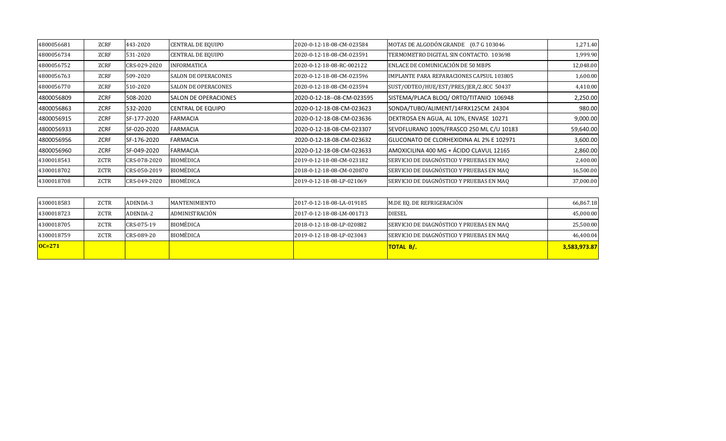| 4800056681 | <b>ZCRF</b> | 443-2020     | CENTRAL DE EQUIPO            | 2020-0-12-18-08-CM-023584  | MOTAS DE ALGODÓN GRANDE (0.7 G 103046    | 1,271.40  |
|------------|-------------|--------------|------------------------------|----------------------------|------------------------------------------|-----------|
| 4800056734 | ZCRF        | 531-2020     | <b>CENTRAL DE EQUIPO</b>     | 2020-0-12-18-08-CM-023591  | TERMOMETRO DIGITAL SIN CONTACTO, 103698  | 1,999.90  |
| 4800056752 | ZCRF        | CRS-029-2020 | <b>INFORMATICA</b>           | 2020-0-12-18-08-RC-002122  | ENLACE DE COMUNICACIÓN DE 50 MBPS        | 12,048.00 |
| 4800056763 | ZCRF        | 509-2020     | <b>SALON DE OPERACONES</b>   | 2020-0-12-18-08-CM-023596  | IMPLANTE PARA REPARACIONES CAPSUL 103805 | 1,600.00  |
| 4800056770 | ZCRF        | 510-2020     | <b>SALON DE OPERACONES</b>   | 2020-0-12-18-08-CM-023594  | SUST/ODTEO/HUE/EST/PRES/JER/2.8CC 50437  | 4,410.00  |
| 4800056809 | <b>ZCRF</b> | 508-2020     | <b>ISALON DE OPERACIONES</b> | 2020-0-12-18--08-CM-023595 | SISTEMA/PLACA BLOQ/ ORTO/TITANIO 106948  | 2,250.00  |
| 4800056863 | <b>ZCRF</b> | 532-2020     | <b>CENTRAL DE EQUIPO</b>     | 2020-0-12-18-08-CM-023623  | SONDA/TUBO/ALIMENT/14FRX125CM 24304      | 980.00    |
| 4800056915 | ZCRF        | SF-177-2020  | FARMACIA                     | 2020-0-12-18-08-CM-023636  | DEXTROSA EN AGUA, AL 10%, ENVASE 10271   | 9,000.00  |
| 4800056933 | ZCRF        | SF-020-2020  | <b>FARMACIA</b>              | 2020-0-12-18-08-CM-023307  | SEVOFLURANO 100%/FRASCO 250 ML C/U 10183 | 59,640.00 |
| 4800056956 | ZCRF        | SF-176-2020  | <b>FARMACIA</b>              | 2020-0-12-18-08-CM-023632  | GLUCONATO DE CLORHEXIDINA AL 2% E 102971 | 3,600.00  |
| 4800056960 | <b>ZCRF</b> | SF-049-2020  | <b>FARMACIA</b>              | 2020-0-12-18-08-CM-023633  | AMOXICILINA 400 MG + ÁCIDO CLAVUL 12165  | 2,860.00  |
| 4300018543 | ZCTR        | CRS-078-2020 | <b>BIOMÉDICA</b>             | 2019-0-12-18-08-CM-023182  | SERVICIO DE DIAGNÓSTICO Y PRUEBAS EN MAQ | 2,400.00  |
| 4300018702 | ZCTR        | CRS-050-2019 | <b>BIOMÉDICA</b>             | 2018-0-12-18-08-CM-020870  | SERVICIO DE DIAGNÓSTICO Y PRUEBAS EN MAQ | 16,500.00 |
| 4300018708 | ZCTR        | CRS-049-2020 | <b>BIOMÉDICA</b>             | 2019-0-12-18-08-LP-021069  | SERVICIO DE DIAGNÓSTICO Y PRUEBAS EN MAQ | 37,000.00 |

| 4300018583          | ZCTR | ADENDA-3   | MANTENIMIENTO  | 2017-0-12-18-08-LA-019185 | M.DE EQ. DE REFRIGERACIÓN                | 66,867.18    |
|---------------------|------|------------|----------------|---------------------------|------------------------------------------|--------------|
| 4300018723          | ZCTR | ADENDA-2   | ADMINISTRACIÓN | 2017-0-12-18-08-LM-001713 | <b>DIESEL</b>                            | 45,000.00    |
| 4300018705          | ZCTR | CRS-075-19 | BIOMÉDICA      | 2018-0-12-18-08-LP-020882 | SERVICIO DE DIAGNÓSTICO Y PRUEBAS EN MAQ | 25,500.00    |
| 4300018759          | ZCTR | CRS-089-20 | BIOMÉDICA      | 2019-0-12-18-08-LP-023043 | SERVICIO DE DIAGNÓSTICO Y PRUEBAS EN MAQ | 46,400.04    |
| $\overline{OC=271}$ |      |            |                |                           | TOTAL B/.                                | 3,583,973.87 |
|                     |      |            |                |                           |                                          |              |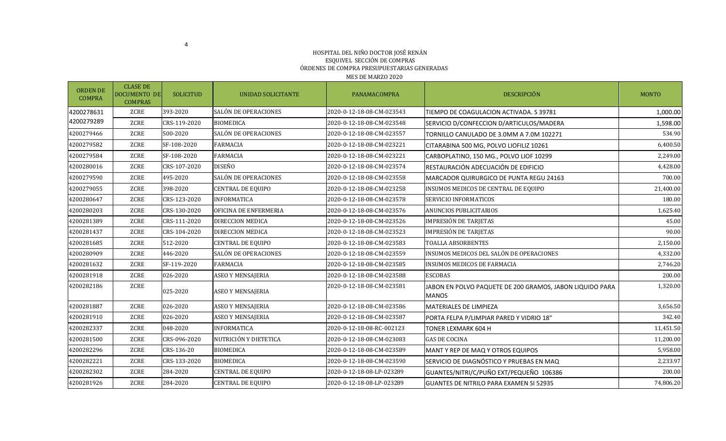#### HOSPITAL DEL NIÑO DOCTOR JOSÉ RENÁN ESQUIVEL SECCIÓN DE COMPRAS ÓRDENES DE COMPRA PRESUPUESTARIAS GENERADAS MES DE MARZO 2020

ORDEN DE COMPRA CLASE DE DOCUMENTO DE COMPRAS SOLICITUD NUNIDAD SOLICITANTE NANAMACOMPRA DESCRIPCIÓN DESCRIPCIÓN DESCRIPCIÓN DESCRIPCIÓN 4200278631 4200279289 ZCRE 393-2020 SALÓN DE OPERACIONES 2020-0-12-18-08-CM-023543 TIEMPO DE COAGULACION ACTIVADA. S 39781 1,000.00 ZCRE CRS-119-2020 BIOMEDICA 2020-0-12-18-08-CM-023548 SERVICIO D/CONFECCION D/ARTICULOS/MADERA 1,598.00 4200279466 ZCRE 500-2020 SALÓN DE OPERACIONES 2020-0-12-18-08-CM-023557 TORNILLO CANULADO DE 3.0MM A 7.0M 102271 534.90 4200279582 ZCRE SF-108-2020 FARMACIA 2020-0-12-18-08-CM-023221 CITARABINA 500 MG, POLVO LIOFILIZ 10261 6,400.50 4200279584 ZCRE SF-108-2020 FARMACIA 2020-0-12-18-08-CM-023221 CARBOPLATINO, 150 MG., POLVO LIOF 10299 2,249.00 4200280016 | ZCRE |CRS-107-2020 |DISEÑO 2020-0-12-18-08-CM-023574 |RESTAURACIÓN ADECUACIÓN DE EDIFICIO 4,428.00 4200279590 ZCRE 495-2020 SALÓN DE OPERACIONES 2020-0-12-18-08-CM-023558 MARCADOR QUIRURGICO DE PUNTA REGU 24163 700.00 4200279055 | ZCRE |398-2020 |CENTRAL DE EQUIPO | 2020-0-12-18-08-CM-023258 |INSUMOS MEDICOS DE CENTRAL DE EQUIPO | 21,400.00 4200280647 ZCRE CRS-123-2020 INFORMATICA 2020-0-12-18-08-CM-023578 SERVICIO INFORMATICOS 180.00 4200280203 CRE CRS-130-2020 OFICINA DE ENFERMERIA 2020-0-12-18-08-CM-023576 ANUNCIOS PUBLICITARIOS 1,625.40 ANUNCIOS 4200281389 ZCRE CRS-111-2020 DIRECCION MEDICA 2020-0-12-18-08-CM-023526 IMPRESIÓN DE TARJETAS 45.00 4200281437 | ZCRE |CRS-104-2020 |DIRECCION MEDICA | 2020-0-12-18-08-CM-023523 |IMPRESIÓN DE TARJETAS | ZORE | 90.00 4200281685 ZCRE 512-2020 CENTRAL DE EQUIPO 2020-0-12-18-08-CM-023583 TOALLA ABSORBENTES 2,150.00 4200280909 ZCRE 446-2020 SALÓN DE OPERACIONES 2020-0-12-18-08-CM-023559 INSUMOS MEDICOS DEL SALÓN DE OPERACIONES 4,332.00 4200281632 | ZCRE |SF-119-2020 |FARMACIA | 2020-0-12-18-08-CM-023585 |INSUMOS MEDICOS DE FARMACIA | ZT46.20 4200281918 | ZCRE |026-2020 |ASEO Y MENSAJERIA | 2020-0-12-18-08-CM-023588 |ESCOBAS | 2000-0-12-18-08-CM-02358 4200282186 ZCRE 025-2020 **ASEO Y MENSAJERIA** 2020-0-12-18-08-CM-023581 JABON EN POLVO PAQUETE DE 200 GRAMOS, JABON LIQUIDO PARA **MANOS** 1,320.00 4200281887 | ZCRE |026-2020 |ASEO Y MENSAJERIA | 2020-0-12-18-08-CM-023586 |MATERIALES DE LIMPIEZA | ZCRE | 3,656.50 4200281910 ZCRE 026-2020 ASEO Y MENSAJERIA 2020-0-12-18-08-CM-023587 PORTA FELPA P/LIMPIAR PARED Y VIDRIO 18" 342.40 4200282337 | ZCRE |048-2020 |INFORMATICA | 2020-0-12-18-08-RC-002123 | TONER LEXMARK 604 H | | 11,451.50 4200281500 ZCRE CRS-096-2020 NUTRICIÓN Y DIETETICA 2020-0-12-18-08-CM-023083 GAS DE COCINA 11,200.00 4200282296 ZCRE CRS-136-20 BIOMEDICA 2020-0-12-18-08-CM-023589 MANT Y REP DE MAQ Y OTROS EQUIPOS 5,958.00 4200282221 ZCRE CRS-133-2020 BIOMEDICA 2020-0-12-18-08-CM-023590 SERVICIO DE DIAGNÓSTICO Y PRUEBAS EN MAQ 2,233.97 4200282302 ZCRE 284-2020 CENTRAL DE EQUIPO 2020-0-12-18-08-LP-023289 GUANTES/NITRI/C/PUÑO EXT/PEQUEÑO 106386 200.00 4200281926 ZCRE 284-2020 CENTRAL DE EQUIPO 2020-0-12-18-08-LP-023289 GUANTES DE NITRILO PARA EXAMEN SI 52935 74,806.20

4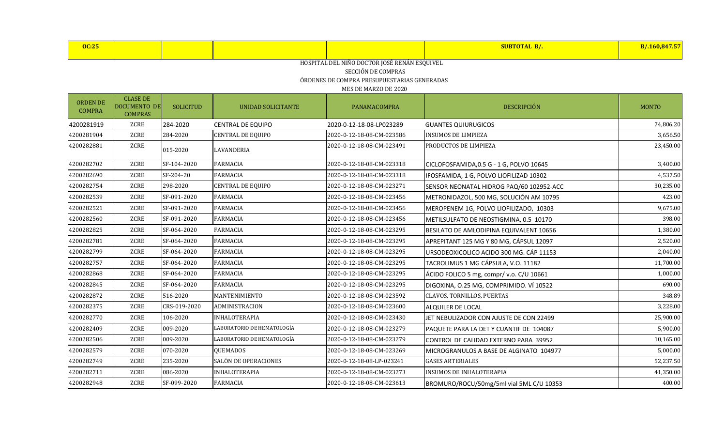| <b>OC:25</b> |  |  | <b>SURTOTAL</b> | <u>. Оли</u> |
|--------------|--|--|-----------------|--------------|
|              |  |  |                 |              |

SECCIÓN DE COMPRAS

ÓRDENES DE COMPRA PRESUPUESTARIAS GENERADAS

| <b>ORDEN DE</b><br><b>COMPRA</b> | <b>CLASE DE</b><br><b>DOCUMENTO DE</b><br><b>COMPRAS</b> | <b>SOLICITUD</b> | UNIDAD SOLICITANTE         | PANAMACOMPRA              | <b>DESCRIPCIÓN</b>                       | <b>MONTO</b> |
|----------------------------------|----------------------------------------------------------|------------------|----------------------------|---------------------------|------------------------------------------|--------------|
| 4200281919                       | ZCRE                                                     | 284-2020         | <b>CENTRAL DE EQUIPO</b>   | 2020-0-12-18-08-LP023289  | <b>GUANTES QUIURUGICOS</b>               | 74,806.20    |
| 4200281904                       | <b>ZCRE</b>                                              | 284-2020         | <b>CENTRAL DE EQUIPO</b>   | 2020-0-12-18-08-CM-023586 | <b>INSUMOS DE LIMPIEZA</b>               | 3,656.50     |
| 4200282881                       | ZCRE                                                     | 015-2020         | <b>LAVANDERIA</b>          | 2020-0-12-18-08-CM-023491 | PRODUCTOS DE LIMPIEZA                    | 23,450.00    |
| 4200282702                       | ZCRE                                                     | SF-104-2020      | <b>FARMACIA</b>            | 2020-0-12-18-08-CM-023318 | CICLOFOSFAMIDA, 0.5 G - 1 G, POLVO 10645 | 3,400.00     |
| 4200282690                       | ZCRE                                                     | SF-204-20        | <b>FARMACIA</b>            | 2020-0-12-18-08-CM-023318 | IFOSFAMIDA, 1 G, POLVO LIOFILIZAD 10302  | 4,537.50     |
| 4200282754                       | ZCRE                                                     | 298-2020         | <b>CENTRAL DE EQUIPO</b>   | 2020-0-12-18-08-CM-023271 | SENSOR NEONATAL HIDROG PAQ/60 102952-ACC | 30,235.00    |
| 4200282539                       | ZCRE                                                     | SF-091-2020      | <b>FARMACIA</b>            | 2020-0-12-18-08-CM-023456 | METRONIDAZOL, 500 MG, SOLUCIÓN AM 10795  | 423.00       |
| 4200282521                       | ZCRE                                                     | SF-091-2020      | <b>FARMACIA</b>            | 2020-0-12-18-08-CM-023456 | MEROPENEM 1G, POLVO LIOFILIZADO, 10303   | 9,675.00     |
| 4200282560                       | ZCRE                                                     | SF-091-2020      | <b>FARMACIA</b>            | 2020-0-12-18-08-CM-023456 | METILSULFATO DE NEOSTIGMINA, 0.5 10170   | 398.00       |
| 4200282825                       | ZCRE                                                     | SF-064-2020      | FARMACIA                   | 2020-0-12-18-08-CM-023295 | BESILATO DE AMLODIPINA EQUIVALENT 10656  | 1,380.00     |
| 4200282781                       | ZCRE                                                     | SF-064-2020      | <b>FARMACIA</b>            | 2020-0-12-18-08-CM-023295 | APREPITANT 125 MG Y 80 MG, CÁPSUL 12097  | 2,520.00     |
| 4200282799                       | ZCRE                                                     | SF-064-2020      | <b>FARMACIA</b>            | 2020-0-12-18-08-CM-023295 | URSODEOXICOLICO ACIDO 300 MG. CÁP 11153  | 2,040.00     |
| 4200282757                       | ZCRE                                                     | SF-064-2020      | <b>FARMACIA</b>            | 2020-0-12-18-08-CM-023295 | TACROLIMUS 1 MG CÁPSULA, V.O. 11182      | 11,700.00    |
| 4200282868                       | ZCRE                                                     | SF-064-2020      | <b>FARMACIA</b>            | 2020-0-12-18-08-CM-023295 | ÁCIDO FOLICO 5 mg, compr/ v.o. C/U 10661 | 1,000.00     |
| 4200282845                       | ZCRE                                                     | SF-064-2020      | <b>FARMACIA</b>            | 2020-0-12-18-08-CM-023295 | DIGOXINA, O.25 MG, COMPRIMIDO. VÍ 10522  | 690.00       |
| 4200282872                       | ZCRE                                                     | 516-2020         | MANTENIMIENTO              | 2020-0-12-18-08-CM-023592 | CLAVOS, TORNILLOS, PUERTAS               | 348.89       |
| 4200282375                       | ZCRE                                                     | CRS-019-2020     | <b>ADMINISTRACION</b>      | 2020-0-12-18-08-CM-023600 | ALQUILER DE LOCAL                        | 3,228.00     |
| 4200282770                       | ZCRE                                                     | 106-2020         | <b>INHALOTERAPIA</b>       | 2020-0-12-18-08-CM-023430 | JET NEBULIZADOR CON AJUSTE DE CON 22499  | 25,900.00    |
| 4200282409                       | ZCRE                                                     | 009-2020         | LABORATORIO DE HEMATOLOGÍA | 2020-0-12-18-08-CM-023279 | PAQUETE PARA LA DET Y CUANTIF DE 104087  | 5,900.00     |
| 4200282506                       | ZCRE                                                     | 009-2020         | LABORATORIO DE HEMATOLOGÍA | 2020-0-12-18-08-CM-023279 | CONTROL DE CALIDAD EXTERNO PARA 39952    | 10,165.00    |
| 4200282579                       | ZCRE                                                     | 070-2020         | <b>QUEMADOS</b>            | 2020-0-12-18-08-CM-023269 | MICROGRANULOS A BASE DE ALGINATO 104977  | 5,000.00     |
| 4200282749                       | ZCRE                                                     | 235-2020         | SALÓN DE OPERACIONES       | 2020-0-12-18-08-LP-023241 | <b>GASES ARTERIALES</b>                  | 52,237.50    |
| 4200282711                       | ZCRE                                                     | 086-2020         | <b>INHALOTERAPIA</b>       | 2020-0-12-18-08-CM-023273 | <b>INSUMOS DE INHALOTERAPIA</b>          | 41,350.00    |
| 4200282948                       | ZCRE                                                     | SF-099-2020      | <b>FARMACIA</b>            | 2020-0-12-18-08-CM-023613 | BROMURO/ROCU/50mg/5ml vial 5ML C/U 10353 | 400.00       |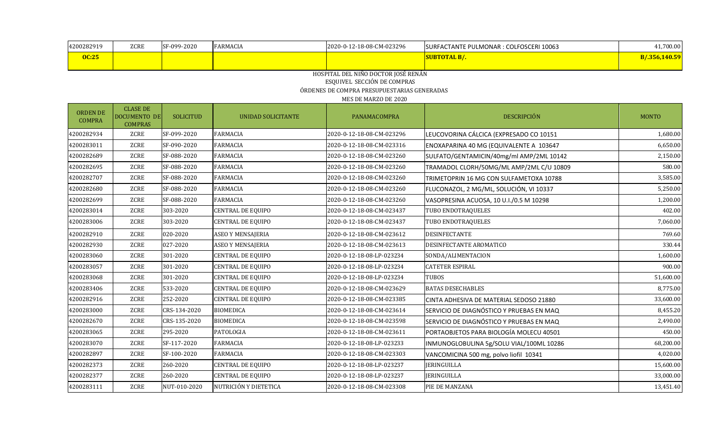| 4200282919                       | ZCRE                                              | SF-099-2020      | <b>FARMACIA</b>          | 2020-0-12-18-08-CM-023296                   | SURFACTANTE PULMONAR : COLFOSCERI 10063  | 41,700.00     |
|----------------------------------|---------------------------------------------------|------------------|--------------------------|---------------------------------------------|------------------------------------------|---------------|
| <b>OC:25</b>                     |                                                   |                  |                          |                                             | <b>SUBTOTAL B/.</b>                      | B/.356,140.59 |
|                                  |                                                   |                  |                          | HOSPITAL DEL NIÑO DOCTOR JOSÉ RENÁN         |                                          |               |
|                                  |                                                   |                  |                          | ESQUIVEL SECCIÓN DE COMPRAS                 |                                          |               |
|                                  |                                                   |                  |                          | ÓRDENES DE COMPRA PRESUPUESTARIAS GENERADAS |                                          |               |
|                                  |                                                   |                  |                          | MES DE MARZO DE 2020                        |                                          |               |
| <b>ORDEN DE</b><br><b>COMPRA</b> | <b>CLASE DE</b><br>DOCUMENTO DE<br><b>COMPRAS</b> | <b>SOLICITUD</b> | UNIDAD SOLICITANTE       | PANAMACOMPRA                                | DESCRIPCIÓN                              | <b>MONTO</b>  |
| 4200282934                       | ZCRE                                              | SF-099-2020      | <b>FARMACIA</b>          | 2020-0-12-18-08-CM-023296                   | LEUCOVORINA CÁLCICA (EXPRESADO CO 10151  | 1,680.00      |
| 4200283011                       | ZCRE                                              | SF-090-2020      | <b>FARMACIA</b>          | 2020-0-12-18-08-CM-023316                   | ENOXAPARINA 40 MG (EQUIVALENTE A 103647  | 6,650.00      |
| 4200282689                       | ZCRE                                              | SF-088-2020      | <b>FARMACIA</b>          | 2020-0-12-18-08-CM-023260                   | SULFATO/GENTAMICIN/40mg/ml AMP/2ML 10142 | 2,150.00      |
| 4200282695                       | ZCRE                                              | SF-088-2020      | <b>FARMACIA</b>          | 2020-0-12-18-08-CM-023260                   | TRAMADOL CLORH/50MG/ML AMP/2ML C/U 10809 | 580.00        |
| 4200282707                       | ZCRE                                              | SF-088-2020      | <b>FARMACIA</b>          | 2020-0-12-18-08-CM-023260                   | TRIMETOPRIN 16 MG CON SULFAMETOXA 10788  | 3,585.00      |
| 4200282680                       | ZCRE                                              | SF-088-2020      | <b>FARMACIA</b>          | 2020-0-12-18-08-CM-023260                   | FLUCONAZOL, 2 MG/ML, SOLUCIÓN, VI 10337  | 5,250.00      |
| 4200282699                       | ZCRE                                              | SF-088-2020      | <b>FARMACIA</b>          | 2020-0-12-18-08-CM-023260                   | VASOPRESINA ACUOSA, 10 U.I./0.5 M 10298  | 1,200.00      |
| 4200283014                       | ZCRE                                              | 303-2020         | <b>CENTRAL DE EQUIPO</b> | 2020-0-12-18-08-CM-023437                   | TUBO ENDOTRAQUELES                       | 402.00        |
| 4200283006                       | ZCRE                                              | 303-2020         | <b>CENTRAL DE EQUIPO</b> | 2020-0-12-18-08-CM-023437                   | TUBO ENDOTRAQUELES                       | 7,060.00      |
| 4200282910                       | ZCRE                                              | 020-2020         | <b>ASEO Y MENSAJERIA</b> | 2020-0-12-18-08-CM-023612                   | <b>DESINFECTANTE</b>                     | 769.60        |
| 4200282930                       | ZCRE                                              | 027-2020         | <b>ASEO Y MENSAJERIA</b> | 2020-0-12-18-08-CM-023613                   | DESINFECTANTE AROMATICO                  | 330.44        |
| 4200283060                       | ZCRE                                              | 301-2020         | <b>CENTRAL DE EQUIPO</b> | 2020-0-12-18-08-LP-023234                   | SONDA/ALIMENTACION                       | 1,600.00      |
| 4200283057                       | ZCRE                                              | 301-2020         | <b>CENTRAL DE EQUIPO</b> | 2020-0-12-18-08-LP-023234                   | <b>CATETER ESPIRAL</b>                   | 900.00        |
| 4200283068                       | ZCRE                                              | 301-2020         | <b>CENTRAL DE EQUIPO</b> | 2020-0-12-18-08-LP-023234                   | <b>TUBOS</b>                             | 51,600.00     |
| 4200283406                       | ZCRE                                              | 533-2020         | <b>CENTRAL DE EQUIPO</b> | 2020-0-12-18-08-CM-023629                   | <b>BATAS DESECHABLES</b>                 | 8,775.00      |
| 4200282916                       | ZCRE                                              | 252-2020         | CENTRAL DE EQUIPO        | 2020-0-12-18-08-CM-023385                   | CINTA ADHESIVA DE MATERIAL SEDOSO 21880  | 33,600.00     |
| 4200283000                       | ZCRE                                              | CRS-134-2020     | <b>BIOMEDICA</b>         | 2020-0-12-18-08-CM-023614                   | SERVICIO DE DIAGNÓSTICO Y PRUEBAS EN MAQ | 8,455.20      |
| 4200282670                       | ZCRE                                              | CRS-135-2020     | <b>BIOMEDICA</b>         | 2020-0-12-18-08-CM-023598                   | SERVICIO DE DIAGNÓSTICO Y PRUEBAS EN MAQ | 2,490.00      |
| 4200283065                       | ZCRE                                              | 295-2020         | PATOLOGIA                | 2020-0-12-18-08-CM-023611                   | PORTAOBJETOS PARA BIOLOGÍA MOLECU 40501  | 450.00        |
| 4200283070                       | ZCRE                                              | SF-117-2020      | <b>FARMACIA</b>          | 2020-0-12-18-08-LP-023233                   | INMUNOGLOBULINA 5g/SOLU VIAL/100ML 10286 | 68,200.00     |
| 4200282897                       | ZCRE                                              | SF-100-2020      | <b>FARMACIA</b>          | 2020-0-12-18-08-CM-023303                   | VANCOMICINA 500 mg, polvo liofil 10341   | 4,020.00      |
| 4200282373                       | ZCRE                                              | 260-2020         | CENTRAL DE EQUIPO        | 2020-0-12-18-08-LP-023237                   | <b>JERINGUILLA</b>                       | 15,600.00     |
| 4200282377                       | ZCRE                                              | 260-2020         | <b>CENTRAL DE EQUIPO</b> | 2020-0-12-18-08-LP-023237                   | <b>JERINGUILLA</b>                       | 33,000.00     |
| 4200283111                       | ZCRE                                              | NUT-010-2020     | NUTRICIÓN Y DIETETICA    | 2020-0-12-18-08-CM-023308                   | PIE DE MANZANA                           | 13,451.40     |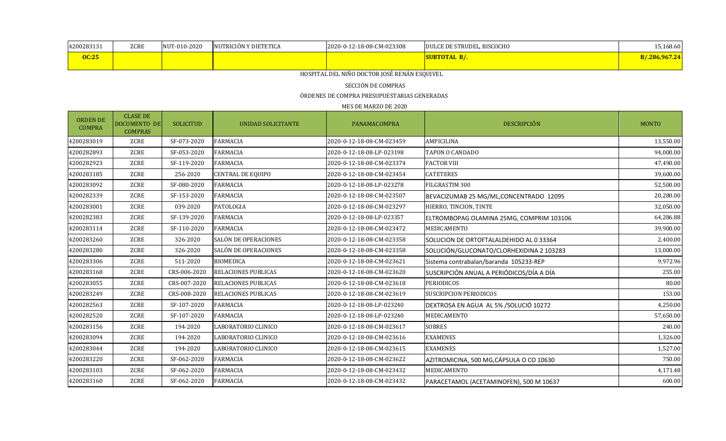| 4200283131   | ZCRE | NUT-010-2020 | INUTRICIÓN Y DIETETICA | 2020-0-12-18-08-CM-023308 | DULCE DE STRUDEL, BISCOCHO | $-5,168.60$  |
|--------------|------|--------------|------------------------|---------------------------|----------------------------|--------------|
| <b>OC:25</b> |      |              |                        |                           | SUBTOTAL B/.               | 7.286,967.24 |

## SECCIÓN DE COMPRAS

ÓRDENES DE COMPRA PRESUPUESTARIAS GENERADAS

| <b>ORDEN DE</b><br><b>COMPRA</b> | <b>CLASE DE</b><br><b>DOCUMENTO DE</b><br><b>COMPRAS</b> | <b>SOLICITUD</b> | UNIDAD SOLICITANTE         | PANAMACOMPRA              | <b>DESCRIPCIÓN</b>                       | <b>MONTO</b> |
|----------------------------------|----------------------------------------------------------|------------------|----------------------------|---------------------------|------------------------------------------|--------------|
| 4200283019                       | <b>ZCRE</b>                                              | SF-073-2020      | <b>FARMACIA</b>            | 2020-0-12-18-08-CM-023459 | <b>AMPICILINA</b>                        | 13,550.00    |
| 4200282893                       | ZCRE                                                     | SF-053-2020      | <b>FARMACIA</b>            | 2020-0-12-18-08-LP-023198 | <b>TAPON O CANDADO</b>                   | 94,000.00    |
| 4200282923                       | ZCRE                                                     | SF-119-2020      | <b>FARMACIA</b>            | 2020-0-12-18-08-CM-023374 | <b>FACTOR VIII</b>                       | 47,490.00    |
| 4200283185                       | <b>ZCRE</b>                                              | 256-2020         | <b>CENTRAL DE EQUIPO</b>   | 2020-0-12-18-08-CM-023454 | <b>CATETERES</b>                         | 39,600.00    |
| 4200283092                       | <b>ZCRE</b>                                              | SF-080-2020      | <b>FARMACIA</b>            | 2020-0-12-18-08-LP-023278 | FILGRASTIM 300                           | 52,500.00    |
| 4200282339                       | <b>ZCRE</b>                                              | SF-153-2020      | <b>FARMACIA</b>            | 2020-0-12-18-08-CM-023507 | BEVACIZUMAB 25 MG/ML, CONCENTRADO 12095  | 20,280.00    |
| 4200283001                       | <b>ZCRE</b>                                              | 039-2020         | PATOLOGIA                  | 2020-0-12-18-08-CM-023297 | HIERRO, TINCION, TINTE                   | 32,050.00    |
| 4200282383                       | ZCRE                                                     | SF-139-2020      | <b>FARMACIA</b>            | 2020-0-12-18-08-LP-023357 | ELTROMBOPAG OLAMINA 25MG, COMPRIM 103106 | 64,286.88    |
| 4200283114                       | ZCRE                                                     | SF-110-2020      | <b>FARMACIA</b>            | 2020-0-12-18-08-CM-023472 | MEDICAMENTO                              | 39,900.00    |
| 4200283260                       | ZCRE                                                     | 326-2020         | SALÓN DE OPERACIONES       | 2020-0-12-18-08-CM-023358 | SOLUCION DE ORTOFTALALDEHIDO AL 0 33364  | 2,400.00     |
| 4200283280                       | ZCRE                                                     | 326-2020         | SALÓN DE OPERACIONES       | 2020-0-12-18-08-CM-023358 | SOLUCIÓN/GLUCONATO/CLORHEXIDINA 2 103283 | 13,000.00    |
| 4200283306                       | ZCRE                                                     | 511-2020         | <b>BIOMEDICA</b>           | 2020-0-12-18-08-CM-023621 | Sistema contrabalan/baranda 105233-REP   | 9,972.96     |
| 4200283168                       | ZCRE                                                     | CRS-006-2020     | RELACIONES PUBLICAS        | 2020-0-12-18-08-CM-023620 | SUSCRIPCIÓN ANUAL A PERIÓDICOS/DÍA A DÍA | 255.00       |
| 4200283055                       | <b>ZCRE</b>                                              | CRS-007-2020     | <b>RELACIONES PUBLICAS</b> | 2020-0-12-18-08-CM-023618 | <b>PERIODICOS</b>                        | 80.00        |
| 4200283249                       | ZCRE                                                     | CRS-008-2020     | RELACIONES PUBLICAS        | 2020-0-12-18-08-CM-023619 | <b>SUSCRIPCION PERIODICOS</b>            | 153.00       |
| 4200282563                       | ZCRE                                                     | SF-107-2020      | <b>FARMACIA</b>            | 2020-0-12-18-08-LP-023240 | DEXTROSA EN AGUA AL 5% / SOLUCIÓ 10272   | 4,250.00     |
| 4200282520                       | ZCRE                                                     | SF-107-2020      | <b>FARMACIA</b>            | 2020-0-12-18-08-LP-023240 | MEDICAMENTO                              | 57,650.00    |
| 4200283156                       | <b>ZCRE</b>                                              | 194-2020         | LABORATORIO CLINICO        | 2020-0-12-18-08-CM-023617 | <b>SOBRES</b>                            | 240.00       |
| 4200283094                       | <b>ZCRE</b>                                              | 194-2020         | LABORATORIO CLINICO        | 2020-0-12-18-08-CM-023616 | <b>EXAMENES</b>                          | 1,326.00     |
| 4200283044                       | <b>ZCRE</b>                                              | 194-2020         | LABORATORIO CLINICO        | 2020-0-12-18-08-CM-023615 | <b>EXAMENES</b>                          | 1,527.00     |
| 4200283220                       | ZCRE                                                     | SF-062-2020      | <b>FARMACIA</b>            | 2020-0-12-18-08-CM-023622 | AZITROMICINA, 500 MG, CÁPSULA O CO 10630 | 750.00       |
| 4200283103                       | <b>ZCRE</b>                                              | SF-062-2020      | <b>FARMACIA</b>            | 2020-0-12-18-08-CM-023432 | MEDICAMENTO                              | 4,171.48     |
| 4200283160                       | <b>ZCRE</b>                                              | SF-062-2020      | <b>FARMACIA</b>            | 2020-0-12-18-08-CM-023432 | PARACETAMOL (ACETAMINOFEN), 500 M 10637  | 600.00       |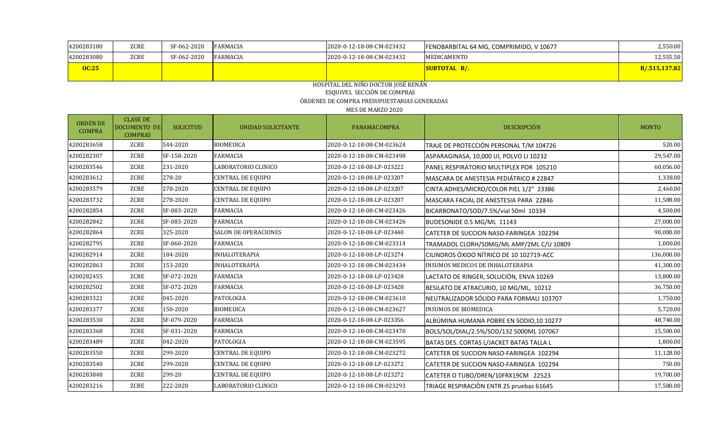| 4200283180   | ZCRE        | SF-062-2020 | <b>FARMACIA</b> | 2020-0-12-18-08-CM-023432 | FENOBARBITAL 64 MG, COMPRIMIDO, V 10677 | 2.550.00      |
|--------------|-------------|-------------|-----------------|---------------------------|-----------------------------------------|---------------|
| 4200283080   | <b>ZCRE</b> | SF-062-2020 | <b>FARMACIA</b> | 2020-0-12-18-08-CM-023432 | MEDICAMENTO                             | 12,555.50     |
| <b>OC:25</b> |             |             |                 |                           | SUBTOTAL B/.                            | B/.515,137.82 |
|              |             |             |                 |                           |                                         |               |

#### HOSPITAL DEL NIÑO DOCTOR JOSÉ RENÁN ESQUIVEL SECCIÓN DE COMPRAS ÓRDENES DE COMPRA PRESUPUESTARIAS GENERADAS MES DE MARZO 2020

| <b>ORDEN DE</b><br><b>COMPRA</b> | <b>CLASE DE</b><br><b>DOCUMENTO DE</b><br><b>COMPRAS</b> | <b>SOLICITUD</b> | UNIDAD SOLICITANTE          | PANAMACOMPRA              | DESCRIPCIÓN                              | <b>MONTO</b> |
|----------------------------------|----------------------------------------------------------|------------------|-----------------------------|---------------------------|------------------------------------------|--------------|
| 4200283658                       | ZCRE                                                     | 544-2020         | <b>BIOMEDICA</b>            | 2020-0-12-18-08-CM-023624 | TRAJE DE PROTECCIÓN PERSONAL T/M 104726  | 520.00       |
| 4200282307                       | ZCRE                                                     | SF-158-2020      | <b>FARMACIA</b>             | 2020-0-12-18-08-CM-023498 | ASPARAGINASA, 10,000 UI, POLVO LI 10232  | 29,547.00    |
| 4200283546                       | ZCRE                                                     | 231-2020         | LABORATORIO CLINICO         | 2020-0-12-18-08-LP-023222 | PANEL RESPIRATORIO MULTIPLEX POR 105210  | 60,056.00    |
| 4200283612                       | <b>ZCRE</b>                                              | 278-20           | CENTRAL DE EQUIPO           | 2020-0-12-18-08-LP-023207 | MASCARA DE ANESTESIA PEDIÁTRICO # 22847  | 1,338.00     |
| 4200283579                       | <b>ZCRE</b>                                              | 278-2020         | CENTRAL DE EQUIPO           | 2020-0-12-18-08-LP-023207 | CINTA ADHES/MICRO/COLOR PIEL 1/2" 23386  | 2,460.00     |
| 4200283732                       | <b>ZCRE</b>                                              | 278-2020         | CENTRAL DE EQUIPO           | 2020-0-12-18-08-LP-023207 | MASCARA FACIAL DE ANESTESIA PARA 22846   | 11,588.00    |
| 4200282854                       | <b>ZCRE</b>                                              | SF-083-2020      | <b>FARMACIA</b>             | 2020-0-12-18-08-CM-023426 | BICARBONATO/SOD/7.5%/vial 50ml 10334     | 4,500.00     |
| 4200282842                       | <b>ZCRE</b>                                              | SF-083-2020      | <b>FARMACIA</b>             | 2020-0-12-18-08-CM-023426 | BUDESONIDE 0.5 MG/ML 11143               | 27,000.00    |
| 4200282864                       | <b>ZCRE</b>                                              | 325-2020         | <b>SALON DE OPERACIONES</b> | 2020-0-12-18-08-LP-023440 | CATETER DE SUCCION NASO-FARINGEA 102294  | 90,000.00    |
| 4200282795                       | <b>ZCRE</b>                                              | SF-060-2020      | <b>FARMACIA</b>             | 2020-0-12-18-08-CM-023314 | TRAMADOL CLORH/50MG/ML AMP/2ML C/U 10809 | 1,000.00     |
| 4200282914                       | <b>ZCRE</b>                                              | 184-2020         | INHALOTERAPIA               | 2020-0-12-18-08-LP-023274 | CILINDROS ÓXIDO NÍTRICO DE 10 102719-ACC | 136,000.00   |
| 4200282863                       | ZCRE                                                     | 153-2020         | INHALOTERAPIA               | 2020-0-12-18-08-CM-023434 | INSUMOS MEDICOS DE INHALOTERAPIA         | 41,300.00    |
| 4200282455                       | ZCRE                                                     | SF-072-2020      | <b>FARMACIA</b>             | 2020-0-12-18-08-LP-023428 | LACTATO DE RINGER, SOLUCIÓN, ENVA 10269  | 13,800.00    |
| 4200282502                       | <b>ZCRE</b>                                              | SF-072-2020      | <b>FARMACIA</b>             | 2020-0-12-18-08-LP-023428 | BESILATO DE ATRACURIO, 10 MG/ML, 10212   | 36,750.00    |
| 4200283322                       | <b>ZCRE</b>                                              | 045-2020         | PATOLOGIA                   | 2020-0-12-18-08-CM-023610 | NEUTRALIZADOR SÓLIDO PARA FORMALI 103707 | 1,750.00     |
| 4200283377                       | <b>ZCRE</b>                                              | 150-2020         | <b>BIOMEDICA</b>            | 2020-0-12-18-08-CM-023627 | INSUMOS DE BIOMEDICA                     | 5,720.00     |
| 4200283530                       | <b>ZCRE</b>                                              | SF-079-2020      | <b>FARMACIA</b>             | 2020-0-12-18-08-LP-023356 | ALBÚMINA HUMANA POBRE EN SODIO, 10 10277 | 48,740.00    |
| 4200283368                       | <b>ZCRE</b>                                              | SF-031-2020      | <b>FARMACIA</b>             | 2020-0-12-18-08-CM-023470 | BOLS/SOL/DIAL/2.5%/SOD/132 5000ML 107067 | 15,500.00    |
| 4200283489                       | <b>ZCRE</b>                                              | 042-2020         | PATOLOGIA                   | 2020-0-12-18-08-CM-023595 | BATAS DES. CORTAS L/JACKET BATAS TALLA L | 1,800.00     |
| 4200283550                       | <b>ZCRE</b>                                              | 299-2020         | CENTRAL DE EQUIPO           | 2020-0-12-18-08-CM-023272 | CATETER DE SUCCION NASO-FARINGEA 102294  | 11,128.00    |
| 4200283540                       | <b>ZCRE</b>                                              | 299-2020         | CENTRAL DE EQUIPO           | 2020-0-12-18-08-LP-023272 | CATETER DE SUCCION NASO-FARINGEA 102294  | 750.00       |
| 4200283848                       | ZCRE                                                     | 299-20           | CENTRAL DE EQUIPO           | 2020-0-12-18-08-LP-023272 | CATETER O TUBO/DREN/10FRX19CM 22523      | 19,700.00    |
| 4200283216                       | <b>ZCRE</b>                                              | 222-2020         | LABORATORIO CLINICO         | 2020-0-12-18-08-CM-023293 | TRIAGE RESPIRACIÒN ENTR 25 pruebas 61645 | 17,580.00    |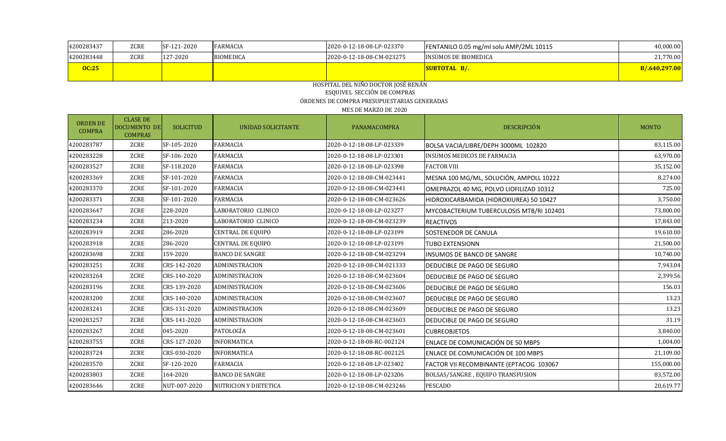| 4200283437   | <b>ZCRE</b> | SF-121-2020 | <b>FARMACIA</b>  | 2020-0-12-18-08-LP-023370 | FENTANILO 0.05 mg/ml solu AMP/2ML 10115 | 40,000.00     |
|--------------|-------------|-------------|------------------|---------------------------|-----------------------------------------|---------------|
| 4200283448   | <b>ZCRE</b> | 127-2020    | <b>BIOMEDICA</b> | 2020-0-12-18-08-CM-023275 | INSUMOS DE BIOMEDICA                    | 21,770.00     |
| <b>OC:25</b> |             |             |                  |                           | <b>SUBTOTAL B/.</b>                     | B/.640,297.00 |
|              |             |             |                  |                           |                                         |               |

### HOSPITAL DEL NIÑO DOCTOR JOSÉ RENÁN ESQUIVEL SECCIÓN DE COMPRAS ÓRDENES DE COMPRA PRESUPUESTARIAS GENERADAS

| <b>ORDEN DE</b><br><b>COMPRA</b> | <b>CLASE DE</b><br><b>DOCUMENTO DE</b><br><b>COMPRAS</b> | <b>SOLICITUD</b> | <b>UNIDAD SOLICITANTE</b>    | PANAMACOMPRA              | DESCRIPCIÓN                                     | <b>MONTO</b> |
|----------------------------------|----------------------------------------------------------|------------------|------------------------------|---------------------------|-------------------------------------------------|--------------|
| 4200283787                       | ZCRE                                                     | SF-105-2020      | <b>FARMACIA</b>              | 2020-0-12-18-08-LP-023339 | BOLSA VACIA/LIBRE/DEPH 3000ML 102820            | 83,115.00    |
| 4200283228                       | ZCRE                                                     | SF-106-2020      | <b>FARMACIA</b>              | 2020-0-12-18-08-LP-023301 | <b>INSUMOS MEDICOS DE FARMACIA</b>              | 63,970.00    |
| 4200283527                       | ZCRE                                                     | SF-118.2020      | <b>FARMACIA</b>              | 2020-0-12-18-08-LP-023398 | <b>FACTOR VIII</b>                              | 35,152.00    |
| 4200283369                       | ZCRE                                                     | SF-101-2020      | <b>FARMACIA</b>              | 2020-0-12-18-08-CM-023441 | MESNA 100 MG/ML, SOLUCIÓN, AMPOLL 10222         | 8,274.00     |
| 4200283370                       | ZCRE                                                     | SF-101-2020      | <b>FARMACIA</b>              | 2020-0-12-18-08-CM-023441 | OMEPRAZOL 40 MG, POLVO LIOFILIZAD 10312         | 725.00       |
| 4200283371                       | ZCRE                                                     | SF-101-2020      | <b>FARMACIA</b>              | 2020-0-12-18-08-CM-023626 | HIDROXICARBAMIDA (HIDROXIUREA) 50 10427         | 3,750.00     |
| 4200283647                       | ZCRE                                                     | 228-2020         | LABORATORIO CLINICO          | 2020-0-12-18-08-LP-023277 | <b>MYCOBACTERIUM TUBERCULOSIS MTB/RI 102401</b> | 73,800.00    |
| 4200283234                       | ZCRE                                                     | 213-2020         | LABORATORIO CLINICO          | 2020-0-12-18-08-CM-023239 | <b>REACTIVOS</b>                                | 17,843.00    |
| 4200283919                       | ZCRE                                                     | 286-2020         | CENTRAL DE EQUIPO            | 2020-0-12-18-08-LP-023199 | <b>SOSTENEDOR DE CANULA</b>                     | 19,610.00    |
| 4200283918                       | ZCRE                                                     | 286-2020         | CENTRAL DE EQUIPO            | 2020-0-12-18-08-LP-023199 | <b>TUBO EXTENSIONN</b>                          | 21,500.00    |
| 4200283698                       | ZCRE                                                     | 159-2020         | <b>BANCO DE SANGRE</b>       | 2020-0-12-18-08-CM-023294 | <b>IINSUMOS DE BANCO DE SANGRE</b>              | 10,740.00    |
| 4200283251                       | ZCRE                                                     | CRS-142-2020     | ADMINISTRACION               | 2020-0-12-18-08-CM-021333 | <b>DEDUCIBLE DE PAGO DE SEGURO</b>              | 7,943.04     |
| 4200283264                       | ZCRE                                                     | CRS-140-2020     | ADMINISTRACION               | 2020-0-12-18-08-CM-023604 | <b>DEDUCIBLE DE PAGO DE SEGURO</b>              | 2,399.56     |
| 4200283196                       | ZCRE                                                     | CRS-139-2020     | ADMINISTRACION               | 2020-0-12-18-08-CM-023606 | <b>DEDUCIBLE DE PAGO DE SEGURO</b>              | 156.03       |
| 4200283200                       | ZCRE                                                     | CRS-140-2020     | <b>ADMINISTRACION</b>        | 2020-0-12-18-08-CM-023607 | <b>DEDUCIBLE DE PAGO DE SEGURO</b>              | 13.23        |
| 4200283241                       | ZCRE                                                     | CRS-131-2020     | ADMINISTRACION               | 2020-0-12-18-08-CM-023609 | DEDUCIBLE DE PAGO DE SEGURO                     | 13.23        |
| 4200283257                       | ZCRE                                                     | CRS-141-2020     | ADMINISTRACION               | 2020-0-12-18-08-CM-023603 | DEDUCIBLE DE PAGO DE SEGURO                     | 31.19        |
| 4200283267                       | ZCRE                                                     | 045-2020         | PATOLOGÍA                    | 2020-0-12-18-08-CM-023601 | <b>CUBREOBJETOS</b>                             | 3,840.00     |
| 4200283755                       | ZCRE                                                     | CRS-127-2020     | <b>INFORMATICA</b>           | 2020-0-12-18-08-RC-002124 | ENLACE DE COMUNICACIÓN DE 50 MBPS               | 1,004.00     |
| 4200283724                       | ZCRE                                                     | CRS-030-2020     | <b>INFORMATICA</b>           | 2020-0-12-18-08-RC-002125 | ENLACE DE COMUNICACIÓN DE 100 MBPS              | 21,109.00    |
| 4200283570                       | ZCRE                                                     | SF-120-2020      | <b>FARMACIA</b>              | 2020-0-12-18-08-LP-023402 | FACTOR VII RECOMBINANTE (EPTACOG 103067         | 155,000.00   |
| 4200283803                       | ZCRE                                                     | 164-2020         | <b>BANCO DE SANGRE</b>       | 2020-0-12-18-08-LP-023206 | BOLSAS/SANGRE, EQUIPO TRANSFUSION               | 83,572.00    |
| 4200283646                       | ZCRE                                                     | NUT-007-2020     | <b>NUTRICION Y DIETETICA</b> | 2020-0-12-18-08-CM-023246 | <b>PESCADO</b>                                  | 20,619.77    |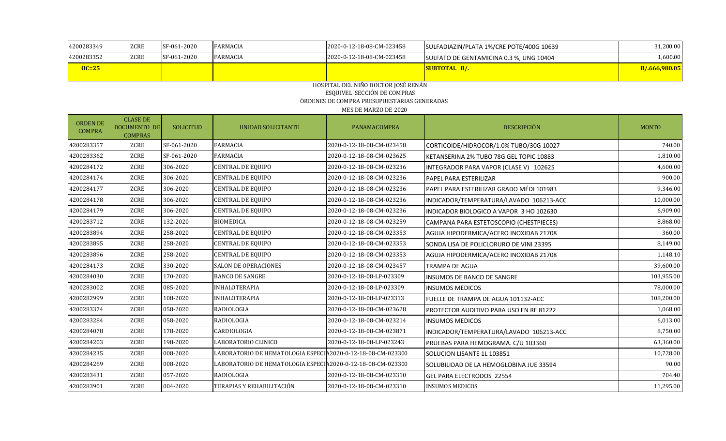| 4200283349 | ZCRE        | SF-061-2020 | FARMACIA        | 2020-0-12-18-08-CM-023458 | SULFADIAZIN/PLATA 1%/CRE POTE/400G 10639 | 31,200.00     |
|------------|-------------|-------------|-----------------|---------------------------|------------------------------------------|---------------|
| 4200283352 | <b>ZCRE</b> | SF-061-2020 | <b>FARMACIA</b> | 2020-0-12-18-08-CM-023458 | SULFATO DE GENTAMICINA 0.3 %, UNG 10404  | L,600.00      |
| $OC=25$    |             |             |                 |                           | <b>SUBTOTAL B/.</b>                      | B/.666,980.05 |
|            |             |             |                 |                           |                                          |               |

#### HOSPITAL DEL NIÑO DOCTOR JOSÉ RENÁN ESQUIVEL SECCIÓN DE COMPRAS ÓRDENES DE COMPRA PRESUPUESTARIAS GENERADAS MES DE MARZO DE 2020

| <b>ORDEN DE</b><br><b>COMPRA</b> | <b>CLASE DE</b><br><b>DOCUMENTO DE</b><br><b>COMPRAS</b> | <b>SOLICITUD</b> | UNIDAD SOLICITANTE                                          | PANAMACOMPRA              | DESCRIPCIÓN                              | <b>MONTO</b> |
|----------------------------------|----------------------------------------------------------|------------------|-------------------------------------------------------------|---------------------------|------------------------------------------|--------------|
| 4200283357                       | ZCRE                                                     | SF-061-2020      | <b>FARMACIA</b>                                             | 2020-0-12-18-08-CM-023458 | CORTICOIDE/HIDROCOR/1.0% TUBO/30G 10027  | 740.00       |
| 4200283362                       | ZCRE                                                     | SF-061-2020      | <b>FARMACIA</b>                                             | 2020-0-12-18-08-CM-023625 | KETANSERINA 2% TUBO 78G GEL TOPIC 10883  | 1,810.00     |
| 4200284172                       | ZCRE                                                     | 306-2020         | CENTRAL DE EQUIPO                                           | 2020-0-12-18-08-CM-023236 | INTEGRADOR PARA VAPOR (CLASE V) 102625   | 4,600.00     |
| 4200284174                       | ZCRE                                                     | 306-2020         | <b>CENTRAL DE EQUIPO</b>                                    | 2020-0-12-18-08-CM-023236 | PAPEL PARA ESTERILIZAR                   | 900.00       |
| 4200284177                       | ZCRE                                                     | 306-2020         | <b>CENTRAL DE EQUIPO</b>                                    | 2020-0-12-18-08-CM-023236 | PAPEL PARA ESTERILIZAR GRADO MÉDI 101983 | 9,346.00     |
| 4200284178                       | ZCRE                                                     | 306-2020         | <b>CENTRAL DE EQUIPO</b>                                    | 2020-0-12-18-08-CM-023236 | INDICADOR/TEMPERATURA/LAVADO 106213-ACC  | 10,000.00    |
| 4200284179                       | ZCRE                                                     | 306-2020         | <b>CENTRAL DE EQUIPO</b>                                    | 2020-0-12-18-08-CM-023236 | INDICADOR BIOLOGICO A VAPOR 3 HO 102630  | 6,909.00     |
| 4200283712                       | <b>ZCRE</b>                                              | 132-2020         | <b>BIOMEDICA</b>                                            | 2020-0-12-18-08-CM-023259 | CAMPANA PARA ESTETOSCOPIO (CHESTPIECES)  | 8,868.00     |
| 4200283894                       | ZCRE                                                     | 258-2020         | <b>CENTRAL DE EQUIPO</b>                                    | 2020-0-12-18-08-CM-023353 | AGUJA HIPODERMICA/ACERO INOXIDAB 21708   | 360.00       |
| 4200283895                       | ZCRE                                                     | 258-2020         | CENTRAL DE EQUIPO                                           | 2020-0-12-18-08-CM-023353 | SONDA LISA DE POLICLORURO DE VINI 23395  | 8,149.00     |
| 4200283896                       | ZCRE                                                     | 258-2020         | <b>CENTRAL DE EQUIPO</b>                                    | 2020-0-12-18-08-CM-023353 | AGUJA HIPODERMICA/ACERO INOXIDAB 21708   | 1,148.10     |
| 4200284173                       | ZCRE                                                     | 330-2020         | <b>SALON DE OPERACIONES</b>                                 | 2020-0-12-18-08-CM-023457 | <b>TRAMPA DE AGUA</b>                    | 39,600.00    |
| 4200284030                       | ZCRE                                                     | 170-2020         | <b>BANCO DE SANGRE</b>                                      | 2020-0-12-18-08-LP-023309 | <b>INSUMOS DE BANCO DE SANGRE</b>        | 103,955.00   |
| 4200283002                       | ZCRE                                                     | 085-2020         | <b>INHALOTERAPIA</b>                                        | 2020-0-12-18-08-LP-023309 | <b>INSUMOS MEDICOS</b>                   | 78,000.00    |
| 4200282999                       | ZCRE                                                     | 108-2020         | <b>INHALOTERAPIA</b>                                        | 2020-0-12-18-08-LP-023313 | FUELLE DE TRAMPA DE AGUA 101132-ACC      | 108,200.00   |
| 4200283374                       | ZCRE                                                     | 058-2020         | <b>RADIOLOGIA</b>                                           | 2020-0-12-18-08-CM-023628 | PROTECTOR AUDITIVO PARA USO EN RE 81222  | 1,068.00     |
| 4200283284                       | ZCRE                                                     | 058-2020         | <b>RADIOLOGIA</b>                                           | 2020-0-12-18-08-CM-023214 | <b>INSUMOS MEDICOS</b>                   | 6,013.00     |
| 4200284078                       | <b>ZCRE</b>                                              | 178-2020         | CARDIOLOGIA                                                 | 2020-0-12-18-08-CM-023871 | INDICADOR/TEMPERATURA/LAVADO 106213-ACC  | 8,750.00     |
| 4200284203                       | ZCRE                                                     | 198-2020         | LABORATORIO CLINICO                                         | 2020-0-12-18-08-LP-023243 | PRUEBAS PARA HEMOGRAMA. C/U 103360       | 63,360.00    |
| 4200284235                       | ZCRE                                                     | 008-2020         | LABORATORIO DE HEMATOLOGIA ESPECIA2020-0-12-18-08-CM-023300 |                           | SOLUCION LISANTE 1L 103851               | 10,728.00    |
| 4200284269                       | ZCRE                                                     | 008-2020         | LABORATORIO DE HEMATOLOGIA ESPECIA2020-0-12-18-08-CM-023300 |                           | SOLUBILIDAD DE LA HEMOGLOBINA JUE 33594  | 90.00        |
| 4200283431                       | ZCRE                                                     | 057-2020         | RADIOLOGIA                                                  | 2020-0-12-18-08-CM-023310 | GEL PARA ELECTRODOS 22554                | 704.40       |
| 4200283901                       | <b>ZCRE</b>                                              | 004-2020         | TERAPIAS Y REHABILITACIÓN                                   | 2020-0-12-18-08-CM-023310 | <b>INSUMOS MEDICOS</b>                   | 11,295.00    |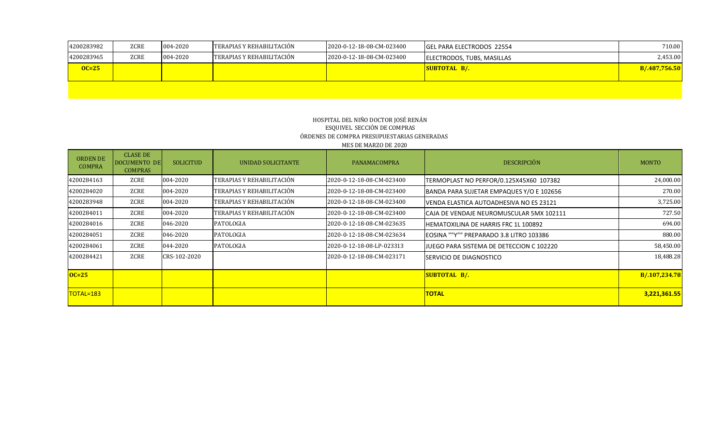| 4200283982 | <b>ZCRE</b> | 004-2020 | <b>TERAPIAS Y REHABILITACIÓN</b> | 2020-0-12-18-08-CM-023400 | <b>IGEL PARA ELECTRODOS 22554</b> | 710.00        |
|------------|-------------|----------|----------------------------------|---------------------------|-----------------------------------|---------------|
| 4200283965 | ZCRE        | 004-2020 | <b>TERAPIAS Y REHABILITACIÓN</b> | 2020-0-12-18-08-CM-023400 | ELECTRODOS, TUBS, MASILLAS        | 2,453.00      |
| $OC=25$    |             |          |                                  |                           | <b>SUBTOTAL B/.</b>               | B/.487,756.50 |
|            |             |          |                                  |                           |                                   |               |

### HOSPITAL DEL NIÑO DOCTOR JOSÉ RENÁN ESQUIVEL SECCIÓN DE COMPRAS ÓRDENES DE COMPRA PRESUPUESTARIAS GENERADAS MES DE MARZO DE 2020

| <b>ORDEN DE</b><br><b>COMPRA</b> | <b>CLASE DE</b><br>DOCUMENTO DE<br><b>COMPRAS</b> | <b>SOLICITUD</b>                      | UNIDAD SOLICITANTE        | PANAMACOMPRA                                                 | <b>DESCRIPCIÓN</b>                              | <b>MONTO</b>  |
|----------------------------------|---------------------------------------------------|---------------------------------------|---------------------------|--------------------------------------------------------------|-------------------------------------------------|---------------|
| 4200284163                       | ZCRE                                              | 004-2020                              | TERAPIAS Y REHABILITACIÓN | 2020-0-12-18-08-CM-023400                                    | TERMOPLAST NO PERFOR/0.125X45X60 107382         | 24,000.00     |
| 4200284020                       | ZCRE                                              | 004-2020                              | TERAPIAS Y REHABILITACIÓN | 2020-0-12-18-08-CM-023400                                    | BANDA PARA SUJETAR EMPAQUES Y/O E 102656        | 270.00        |
| 4200283948                       | ZCRE                                              | 004-2020                              | TERAPIAS Y REHABILITACIÓN | 2020-0-12-18-08-CM-023400                                    | <b>IVENDA ELASTICA AUTOADHESIVA NO ES 23121</b> | 3,725.00      |
| 4200284011                       | ZCRE                                              | TERAPIAS Y REHABILITACIÓN<br>004-2020 |                           | 2020-0-12-18-08-CM-023400                                    | CAJA DE VENDAJE NEUROMUSCULAR 5MX 102111        | 727.50        |
| 4200284016                       | ZCRE                                              | 046-2020<br>PATOLOGIA                 |                           | 2020-0-12-18-08-CM-023635                                    | HEMATOXILINA DE HARRIS FRC 1L 100892            | 694.00        |
| 4200284051                       | ZCRE                                              | 046-2020                              | PATOLOGIA                 | 2020-0-12-18-08-CM-023634                                    | EOSINA ""Y"" PREPARADO 3.8 LITRO 103386         | 880.00        |
| 4200284061                       | ZCRE                                              | 044-2020                              | PATOLOGIA                 | 2020-0-12-18-08-LP-023313                                    | JJUEGO PARA SISTEMA DE DETECCION C 102220       | 58,450.00     |
| 4200284421                       | ZCRE<br>CRS-102-2020                              |                                       |                           | 2020-0-12-18-08-CM-023171<br><b>ISERVICIO DE DIAGNOSTICO</b> |                                                 | 18,488.28     |
| $OC=25$                          |                                                   |                                       |                           |                                                              | <b>SUBTOTAL B/.</b>                             | B/.107,234.78 |
| $\overline{10TAL=183}$           |                                                   |                                       |                           |                                                              | <b>TOTAL</b>                                    | 3,221,361.55  |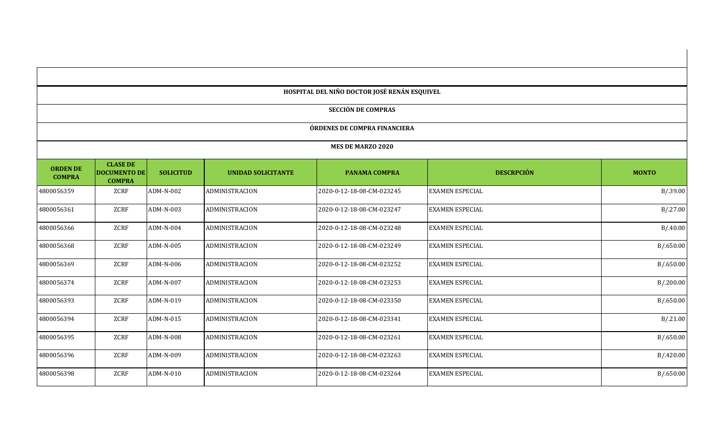|                                  |                                                         |                  |                           | HOSPITAL DEL NIÑO DOCTOR JOSÉ RENÁN ESQUIVEL |                        |              |
|----------------------------------|---------------------------------------------------------|------------------|---------------------------|----------------------------------------------|------------------------|--------------|
|                                  |                                                         |                  |                           | <b>SECCIÓN DE COMPRAS</b>                    |                        |              |
|                                  |                                                         |                  |                           | ÓRDENES DE COMPRA FINANCIERA                 |                        |              |
|                                  |                                                         |                  |                           | <b>MES DE MARZO 2020</b>                     |                        |              |
| <b>ORDEN DE</b><br><b>COMPRA</b> | <b>CLASE DE</b><br><b>DOCUMENTO DE</b><br><b>COMPRA</b> | <b>SOLICITUD</b> | <b>UNIDAD SOLICITANTE</b> | <b>PANAMA COMPRA</b>                         | <b>DESCRPCIÓN</b>      | <b>MONTO</b> |
| 4800056359                       | ZCRF                                                    | ADM-N-002        | ADMINISTRACION            | 2020-0-12-18-08-CM-023245                    | <b>EXAMEN ESPECIAL</b> | B/.39.00     |
| 4800056361                       | ZCRF                                                    | ADM-N-003        | ADMINISTRACION            | 2020-0-12-18-08-CM-023247                    | <b>EXAMEN ESPECIAL</b> | B/27.00      |
| 4800056366                       | ZCRF                                                    | ADM-N-004        | ADMINISTRACION            | 2020-0-12-18-08-CM-023248                    | <b>EXAMEN ESPECIAL</b> | B/0.40.00    |
| 4800056368                       | ZCRF                                                    | ADM-N-005        | ADMINISTRACION            | 2020-0-12-18-08-CM-023249                    | <b>EXAMEN ESPECIAL</b> | B/0.650.00   |
| 4800056369                       | ZCRF                                                    | ADM-N-006        | ADMINISTRACION            | 2020-0-12-18-08-CM-023252                    | <b>EXAMEN ESPECIAL</b> | B/0.650.00   |
| 4800056374                       | ZCRF                                                    | ADM-N-007        | ADMINISTRACION            | 2020-0-12-18-08-CM-023253                    | <b>EXAMEN ESPECIAL</b> | B/0.200.00   |
| 4800056393                       | ZCRF                                                    | ADM-N-019        | ADMINISTRACION            | 2020-0-12-18-08-CM-023350                    | <b>EXAMEN ESPECIAL</b> | B/0.650.00   |
| 4800056394                       | ZCRF                                                    | ADM-N-015        | ADMINISTRACION            | 2020-0-12-18-08-CM-023341                    | <b>EXAMEN ESPECIAL</b> | B/.21.00     |
| 4800056395                       | ZCRF                                                    | ADM-N-008        | ADMINISTRACION            | 2020-0-12-18-08-CM-023261                    | <b>EXAMEN ESPECIAL</b> | B/0.650.00   |
| 4800056396                       | ZCRF                                                    | ADM-N-009        | ADMINISTRACION            | 2020-0-12-18-08-CM-023263                    | <b>EXAMEN ESPECIAL</b> | B/0.420.00   |
| 4800056398                       | ZCRF                                                    | ADM-N-010        | ADMINISTRACION            | 2020-0-12-18-08-CM-023264                    | <b>EXAMEN ESPECIAL</b> | B/0.650.00   |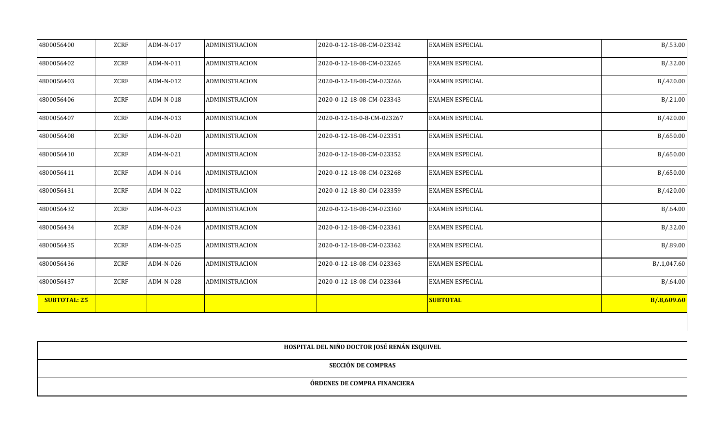| 4800056400          | ZCRF | ADM-N-017 | <b>ADMINISTRACION</b> | 2020-0-12-18-08-CM-023342  | <b>EXAMEN ESPECIAL</b> | B/0.53.00    |
|---------------------|------|-----------|-----------------------|----------------------------|------------------------|--------------|
| 4800056402          | ZCRF | ADM-N-011 | <b>ADMINISTRACION</b> | 2020-0-12-18-08-CM-023265  | <b>EXAMEN ESPECIAL</b> | B/.32.00     |
| 4800056403          | ZCRF | ADM-N-012 | ADMINISTRACION        | 2020-0-12-18-08-CM-023266  | <b>EXAMEN ESPECIAL</b> | B/420.00     |
| 4800056406          | ZCRF | ADM-N-018 | ADMINISTRACION        | 2020-0-12-18-08-CM-023343  | <b>EXAMEN ESPECIAL</b> | B/.21.00     |
| 4800056407          | ZCRF | ADM-N-013 | ADMINISTRACION        | 2020-0-12-18-0-8-CM-023267 | <b>EXAMEN ESPECIAL</b> | B/420.00     |
| 4800056408          | ZCRF | ADM-N-020 | ADMINISTRACION        | 2020-0-12-18-08-CM-023351  | <b>EXAMEN ESPECIAL</b> | B/0.650.00   |
| 4800056410          | ZCRF | ADM-N-021 | ADMINISTRACION        | 2020-0-12-18-08-CM-023352  | <b>EXAMEN ESPECIAL</b> | B/0.650.00   |
| 4800056411          | ZCRF | ADM-N-014 | <b>ADMINISTRACION</b> | 2020-0-12-18-08-CM-023268  | <b>EXAMEN ESPECIAL</b> | B/0.650.00   |
| 4800056431          | ZCRF | ADM-N-022 | <b>ADMINISTRACION</b> | 2020-0-12-18-80-CM-023359  | <b>EXAMEN ESPECIAL</b> | B/0.420.00   |
| 4800056432          | ZCRF | ADM-N-023 | <b>ADMINISTRACION</b> | 2020-0-12-18-08-CM-023360  | <b>EXAMEN ESPECIAL</b> | B/0.64.00    |
| 4800056434          | ZCRF | ADM-N-024 | <b>ADMINISTRACION</b> | 2020-0-12-18-08-CM-023361  | <b>EXAMEN ESPECIAL</b> | B/.32.00     |
| 4800056435          | ZCRF | ADM-N-025 | ADMINISTRACION        | 2020-0-12-18-08-CM-023362  | <b>EXAMEN ESPECIAL</b> | B/0.89.00    |
| 4800056436          | ZCRF | ADM-N-026 | <b>ADMINISTRACION</b> | 2020-0-12-18-08-CM-023363  | <b>EXAMEN ESPECIAL</b> | B/0.1,047.60 |
| 4800056437          | ZCRF | ADM-N-028 | ADMINISTRACION        | 2020-0-12-18-08-CM-023364  | <b>EXAMEN ESPECIAL</b> | B/0.64.00    |
| <b>SUBTOTAL: 25</b> |      |           |                       |                            | <b>SUBTOTAL</b>        | B/.8,609.60  |

| HOSPITAL DEL NIÑO DOCTOR JOSÉ RENÁN ESQUIVEL |
|----------------------------------------------|
| SECCIÓN DE COMPRAS                           |
| ÓRDENES DE COMPRA FINANCIERA                 |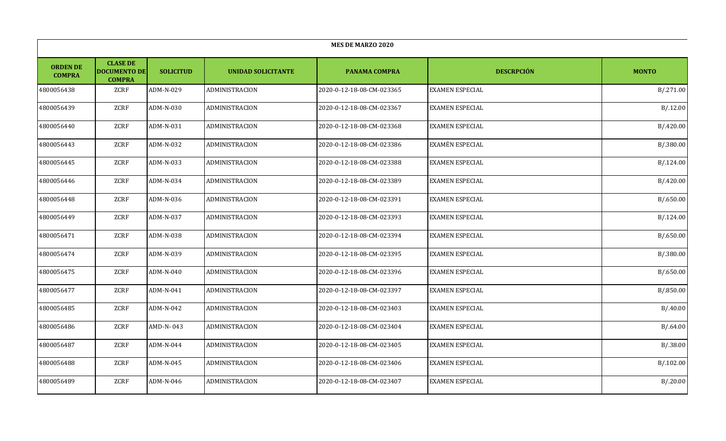|                                  | <b>MES DE MARZO 2020</b>                                |                  |                           |                           |                        |              |  |  |  |
|----------------------------------|---------------------------------------------------------|------------------|---------------------------|---------------------------|------------------------|--------------|--|--|--|
| <b>ORDEN DE</b><br><b>COMPRA</b> | <b>CLASE DE</b><br><b>DOCUMENTO DE</b><br><b>COMPRA</b> | <b>SOLICITUD</b> | <b>UNIDAD SOLICITANTE</b> | <b>PANAMA COMPRA</b>      | <b>DESCRPCIÓN</b>      | <b>MONTO</b> |  |  |  |
| 4800056438                       | ZCRF                                                    | ADM-N-029        | <b>ADMINISTRACION</b>     | 2020-0-12-18-08-CM-023365 | <b>EXAMEN ESPECIAL</b> | B/.271.00    |  |  |  |
| 4800056439                       | ZCRF                                                    | ADM-N-030        | ADMINISTRACION            | 2020-0-12-18-08-CM-023367 | <b>EXAMEN ESPECIAL</b> | B/.12.00     |  |  |  |
| 4800056440                       | ZCRF                                                    | ADM-N-031        | ADMINISTRACION            | 2020-0-12-18-08-CM-023368 | EXAMEN ESPECIAL        | B/.420.00    |  |  |  |
| 4800056443                       | ZCRF                                                    | ADM-N-032        | ADMINISTRACION            | 2020-0-12-18-08-CM-023386 | EXAMÉN ESPECIAL        | B/.380.00    |  |  |  |
| 4800056445                       | ZCRF                                                    | ADM-N-033        | ADMINISTRACION            | 2020-0-12-18-08-CM-023388 | EXAMEN ESPECIAL        | B/.124.00    |  |  |  |
| 4800056446                       | ZCRF                                                    | ADM-N-034        | ADMINISTRACION            | 2020-0-12-18-08-CM-023389 | <b>EXAMEN ESPECIAL</b> | B/.420.00    |  |  |  |
| 4800056448                       | ZCRF                                                    | ADM-N-036        | ADMINISTRACION            | 2020-0-12-18-08-CM-023391 | <b>EXAMEN ESPECIAL</b> | B/0.650.00   |  |  |  |
| 4800056449                       | ZCRF                                                    | ADM-N-037        | ADMINISTRACION            | 2020-0-12-18-08-CM-023393 | <b>EXAMEN ESPECIAL</b> | B/.124.00    |  |  |  |
| 4800056471                       | ZCRF                                                    | ADM-N-038        | ADMINISTRACION            | 2020-0-12-18-08-CM-023394 | EXAMEN ESPECIAL        | B/0.650.00   |  |  |  |
| 4800056474                       | ZCRF                                                    | ADM-N-039        | ADMINISTRACION            | 2020-0-12-18-08-CM-023395 | <b>EXAMEN ESPECIAL</b> | B/.380.00    |  |  |  |
| 4800056475                       | ZCRF                                                    | ADM-N-040        | ADMINISTRACION            | 2020-0-12-18-08-CM-023396 | EXAMEN ESPECIAL        | B/0.650.00   |  |  |  |
| 4800056477                       | ZCRF                                                    | ADM-N-041        | ADMINISTRACION            | 2020-0-12-18-08-CM-023397 | EXAMEN ESPECIAL        | B/0.850.00   |  |  |  |
| 4800056485                       | ZCRF                                                    | ADM-N-042        | ADMINISTRACION            | 2020-0-12-18-08-CM-023403 | <b>EXAMEN ESPECIAL</b> | B/0.00       |  |  |  |
| 4800056486                       | ZCRF                                                    | AMD-N-043        | ADMINISTRACION            | 2020-0-12-18-08-CM-023404 | EXAMEN ESPECIAL        | B/0.64.00    |  |  |  |
| 4800056487                       | ZCRF                                                    | ADM-N-044        | ADMINISTRACION            | 2020-0-12-18-08-CM-023405 | EXAMEN ESPECIAL        | B/.38.00     |  |  |  |
| 4800056488                       | ZCRF                                                    | ADM-N-045        | ADMINISTRACION            | 2020-0-12-18-08-CM-023406 | EXAMEN ESPECIAL        | B/.102.00    |  |  |  |
| 4800056489                       | ZCRF                                                    | ADM-N-046        | ADMINISTRACION            | 2020-0-12-18-08-CM-023407 | EXAMEN ESPECIAL        | B/.20.00     |  |  |  |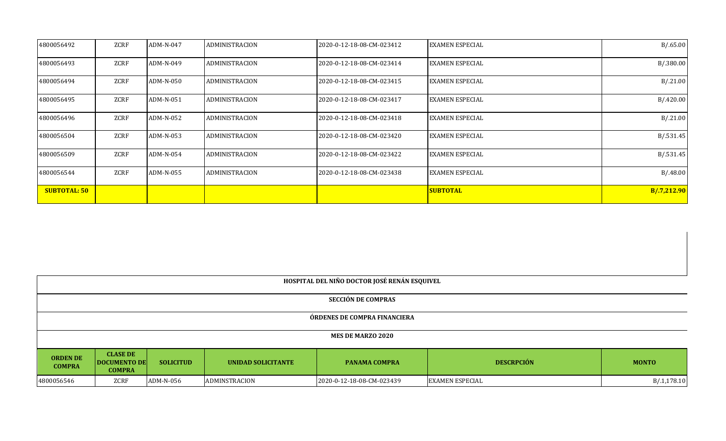| 4800056492          | ZCRF | ADM-N-047 | <b>ADMINISTRACION</b> | 2020-0-12-18-08-CM-023412 | <b>EXAMEN ESPECIAL</b> | B/0.65.00   |
|---------------------|------|-----------|-----------------------|---------------------------|------------------------|-------------|
| 4800056493          | ZCRF | ADM-N-049 | <b>ADMINISTRACION</b> | 2020-0-12-18-08-CM-023414 | <b>EXAMEN ESPECIAL</b> | B/.380.00   |
| 4800056494          | ZCRF | ADM-N-050 | ADMINISTRACION        | 2020-0-12-18-08-CM-023415 | <b>EXAMEN ESPECIAL</b> | B/.21.00    |
| 4800056495          | ZCRF | ADM-N-051 | ADMINISTRACION        | 2020-0-12-18-08-CM-023417 | <b>EXAMEN ESPECIAL</b> | B/420.00    |
| 4800056496          | ZCRF | ADM-N-052 | ADMINISTRACION        | 2020-0-12-18-08-CM-023418 | <b>EXAMEN ESPECIAL</b> | B/.21.00    |
| 4800056504          | ZCRF | ADM-N-053 | <b>ADMINISTRACION</b> | 2020-0-12-18-08-CM-023420 | <b>EXAMEN ESPECIAL</b> | B/.531.45   |
| 4800056509          | ZCRF | ADM-N-054 | <b>ADMINISTRACION</b> | 2020-0-12-18-08-CM-023422 | <b>EXAMEN ESPECIAL</b> | B/.531.45   |
| 4800056544          | ZCRF | ADM-N-055 | <b>ADMINISTRACION</b> | 2020-0-12-18-08-CM-023438 | <b>EXAMEN ESPECIAL</b> | B/0.48.00   |
| <b>SUBTOTAL: 50</b> |      |           |                       |                           | <b>SUBTOTAL</b>        | B/.7,212.90 |

| HOSPITAL DEL NIÑO DOCTOR JOSÉ RENÁN ESQUIVEL                                                                                                                                                       |                                                                                                           |  |  |  |  |  |  |  |
|----------------------------------------------------------------------------------------------------------------------------------------------------------------------------------------------------|-----------------------------------------------------------------------------------------------------------|--|--|--|--|--|--|--|
| <b>SECCIÓN DE COMPRAS</b>                                                                                                                                                                          |                                                                                                           |  |  |  |  |  |  |  |
| ÓRDENES DE COMPRA FINANCIERA                                                                                                                                                                       |                                                                                                           |  |  |  |  |  |  |  |
| <b>MES DE MARZO 2020</b>                                                                                                                                                                           |                                                                                                           |  |  |  |  |  |  |  |
| <b>CLASE DE</b><br><b>ORDEN DE</b><br><b>DESCRPCIÓN</b><br><b>DOCUMENTO DE</b><br><b>SOLICITUD</b><br>UNIDAD SOLICITANTE<br><b>MONTO</b><br><b>PANAMA COMPRA</b><br><b>COMPRA</b><br><b>COMPRA</b> |                                                                                                           |  |  |  |  |  |  |  |
| 4800056546                                                                                                                                                                                         | B/0.1,178.10<br>ZCRF<br>ADMINSTRACION<br>2020-0-12-18-08-CM-023439<br><b>EXAMEN ESPECIAL</b><br>ADM-N-056 |  |  |  |  |  |  |  |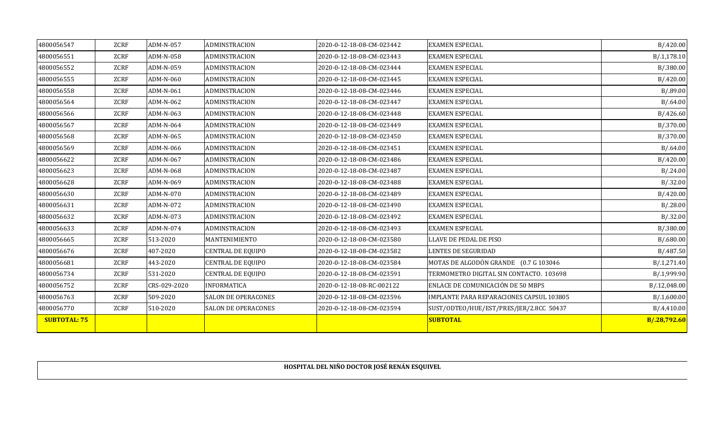| 4800056547          | ZCRF        | ADM-N-057    | ADMINSTRACION              | 2020-0-12-18-08-CM-023442 | <b>EXAMEN ESPECIAL</b>                   | B/0.420.00   |
|---------------------|-------------|--------------|----------------------------|---------------------------|------------------------------------------|--------------|
| 4800056551          | ZCRF        | ADM-N-058    | <b>ADMINSTRACION</b>       | 2020-0-12-18-08-CM-023443 | <b>EXAMEN ESPECIAL</b>                   | B/0.1,178.10 |
| 4800056552          | ZCRF        | ADM-N-059    | ADMINSTRACION              | 2020-0-12-18-08-CM-023444 | <b>EXAMEN ESPECIAL</b>                   | B/0.380.00   |
| 4800056555          | ZCRF        | ADM-N-060    | <b>ADMINSTRACION</b>       | 2020-0-12-18-08-CM-023445 | <b>EXAMEN ESPECIAL</b>                   | B/420.00     |
| 4800056558          | ZCRF        | ADM-N-061    | <b>ADMINSTRACION</b>       | 2020-0-12-18-08-CM-023446 | <b>EXAMEN ESPECIAL</b>                   | B/0.89.00    |
| 4800056564          | ZCRF        | ADM-N-062    | <b>ADMINSTRACION</b>       | 2020-0-12-18-08-CM-023447 | <b>EXAMEN ESPECIAL</b>                   | B/0.64.00    |
| 4800056566          | ZCRF        | ADM-N-063    | <b>ADMINSTRACION</b>       | 2020-0-12-18-08-CM-023448 | <b>EXAMEN ESPECIAL</b>                   | B/0.426.60   |
| 4800056567          | ZCRF        | ADM-N-064    | <b>ADMINSTRACION</b>       | 2020-0-12-18-08-CM-023449 | <b>EXAMEN ESPECIAL</b>                   | B/.370.00    |
| 4800056568          | ZCRF        | ADM-N-065    | <b>ADMINSTRACION</b>       | 2020-0-12-18-08-CM-023450 | <b>EXAMEN ESPECIAL</b>                   | B/.370.00    |
| 4800056569          | ZCRF        | ADM-N-066    | ADMINSTRACION              | 2020-0-12-18-08-CM-023451 | <b>EXAMEN ESPECIAL</b>                   | B/0.64.00    |
| 4800056622          | ZCRF        | ADM-N-067    | ADMINSTRACION              | 2020-0-12-18-08-CM-023486 | <b>EXAMEN ESPECIAL</b>                   | B/0.420.00   |
| 4800056623          | ZCRF        | ADM-N-068    | ADMINSTRACION              | 2020-0-12-18-08-CM-023487 | <b>EXAMEN ESPECIAL</b>                   | B/0.24.00    |
| 4800056628          | <b>ZCRF</b> | ADM-N-069    | <b>ADMINSTRACION</b>       | 2020-0-12-18-08-CM-023488 | <b>EXAMEN ESPECIAL</b>                   | B/.32.00     |
| 4800056630          | ZCRF        | ADM-N-070    | ADMINSTRACION              | 2020-0-12-18-08-CM-023489 | <b>EXAMEN ESPECIAL</b>                   | B/0.420.00   |
| 4800056631          | ZCRF        | ADM-N-072    | ADMINSTRACION              | 2020-0-12-18-08-CM-023490 | <b>EXAMEN ESPECIAL</b>                   | B/0.28.00    |
| 4800056632          | ZCRF        | ADM-N-073    | <b>ADMINSTRACION</b>       | 2020-0-12-18-08-CM-023492 | <b>EXAMEN ESPECIAL</b>                   | B/.32.00     |
| 4800056633          | ZCRF        | ADM-N-074    | <b>ADMINSTRACION</b>       | 2020-0-12-18-08-CM-023493 | <b>EXAMEN ESPECIAL</b>                   | B/.380.00    |
| 4800056665          | ZCRF        | 513-2020     | MANTENIMIENTO              | 2020-0-12-18-08-CM-023580 | LLAVE DE PEDAL DE PISO                   | B/0.680.00   |
| 4800056676          | ZCRF        | 407-2020     | <b>CENTRAL DE EQUIPO</b>   | 2020-0-12-18-08-CM-023582 | LENTES DE SEGURIDAD                      | B/.487.50    |
| 4800056681          | ZCRF        | 443-2020     | <b>CENTRAL DE EQUIPO</b>   | 2020-0-12-18-08-CM-023584 | MOTAS DE ALGODÓN GRANDE (0.7 G 103046    | B/.1,271.40  |
| 4800056734          | ZCRF        | 531-2020     | <b>CENTRAL DE EQUIPO</b>   | 2020-0-12-18-08-CM-023591 | TERMOMETRO DIGITAL SIN CONTACTO. 103698  | B/.1,999.90  |
| 4800056752          | ZCRF        | CRS-029-2020 | <b>INFORMATICA</b>         | 2020-0-12-18-08-RC-002122 | ENLACE DE COMUNICACIÓN DE 50 MBPS        | B/.12,048.00 |
| 4800056763          | ZCRF        | 509-2020     | <b>SALON DE OPERACONES</b> | 2020-0-12-18-08-CM-023596 | IMPLANTE PARA REPARACIONES CAPSUL 103805 | B/0.1,600.00 |
| 4800056770          | ZCRF        | 510-2020     | <b>SALON DE OPERACONES</b> | 2020-0-12-18-08-CM-023594 | SUST/ODTEO/HUE/EST/PRES/JER/2.8CC 50437  | B/4,410.00   |
| <b>SUBTOTAL: 75</b> |             |              |                            |                           | <b>SUBTOTAL</b>                          | B/.28,792.60 |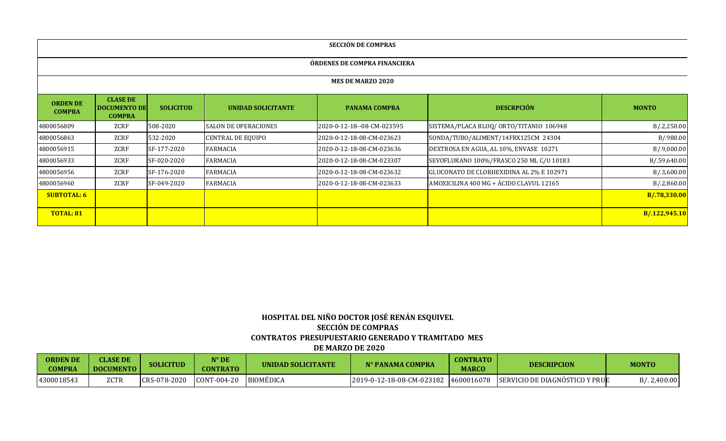| <b>SECCIÓN DE COMPRAS</b>        |                                                         |                  |                             |                            |                                          |               |  |  |  |
|----------------------------------|---------------------------------------------------------|------------------|-----------------------------|----------------------------|------------------------------------------|---------------|--|--|--|
| ÓRDENES DE COMPRA FINANCIERA     |                                                         |                  |                             |                            |                                          |               |  |  |  |
|                                  |                                                         |                  |                             | <b>MES DE MARZO 2020</b>   |                                          |               |  |  |  |
| <b>ORDEN DE</b><br><b>COMPRA</b> | <b>CLASE DE</b><br><b>DOCUMENTO DE</b><br><b>COMPRA</b> | <b>SOLICITUD</b> | <b>UNIDAD SOLICITANTE</b>   | <b>PANAMA COMPRA</b>       | <b>DESCRPCIÓN</b>                        | <b>MONTO</b>  |  |  |  |
| 4800056809                       | ZCRF                                                    | 508-2020         | <b>SALON DE OPERACIONES</b> | 2020-0-12-18--08-CM-023595 | SISTEMA/PLACA BLOQ/ ORTO/TITANIO 106948  | B/2,250.00    |  |  |  |
| 4800056863                       | ZCRF                                                    | 532-2020         | <b>CENTRAL DE EQUIPO</b>    | 2020-0-12-18-08-CM-023623  | SONDA/TUBO/ALIMENT/14FRX125CM 24304      | B/.980.00     |  |  |  |
| 4800056915                       | ZCRF                                                    | SF-177-2020      | <b>FARMACIA</b>             | 2020-0-12-18-08-CM-023636  | DEXTROSA EN AGUA, AL 10%, ENVASE 10271   | B/.9,000.00   |  |  |  |
| 4800056933                       | ZCRF                                                    | SF-020-2020      | <b>FARMACIA</b>             | 2020-0-12-18-08-CM-023307  | SEVOFLURANO 100%/FRASCO 250 ML C/U 10183 | B/.59,640.00  |  |  |  |
| 4800056956                       | ZCRF                                                    | SF-176-2020      | FARMACIA                    | 2020-0-12-18-08-CM-023632  | GLUCONATO DE CLORHEXIDINA AL 2% E 102971 | B/.3,600.00   |  |  |  |
| 4800056960                       | ZCRF                                                    | SF-049-2020      | <b>FARMACIA</b>             | 2020-0-12-18-08-CM-023633  | AMOXICILINA 400 MG + ÁCIDO CLAVUL 12165  | B/.2,860.00   |  |  |  |
| <b>SUBTOTAL: 6</b>               |                                                         |                  |                             |                            |                                          | B/.78,330.00  |  |  |  |
| <b>TOTAL: 81</b>                 |                                                         |                  |                             |                            |                                          | B/.122,945.10 |  |  |  |

# **HOSPITAL DEL NIÑO DOCTOR JOSÉ RENÁN ESQUIVEL SECCIÓN DE COMPRAS CONTRATOS PRESUPUESTARIO GENERADO Y TRAMITADO MES DE MARZO DE 2020**

| <b>ORDEN DE</b><br><b>COMPRA</b> | <b>CLASE DE</b><br><b>DOCUMENTO</b> | <b>SOLICITUD</b> | N° DE<br>CONTRATO | UNIDAD SOLICITANTE | N° PANAMA COMPRA          | <b>CONTRATO</b><br><b>MARCO</b> | <b>DESCRIPCION</b>             | <b>MONTO</b> |
|----------------------------------|-------------------------------------|------------------|-------------------|--------------------|---------------------------|---------------------------------|--------------------------------|--------------|
| 4300018543                       | ZCTR                                | CRS-078-2020     | CONT-004-20       | BIOMÉDICA          | 2019-0-12-18-08-CM-023182 | 4600016078                      | SERVICIO DE DIAGNÓSTICO Y PRUE | d/2,400.00   |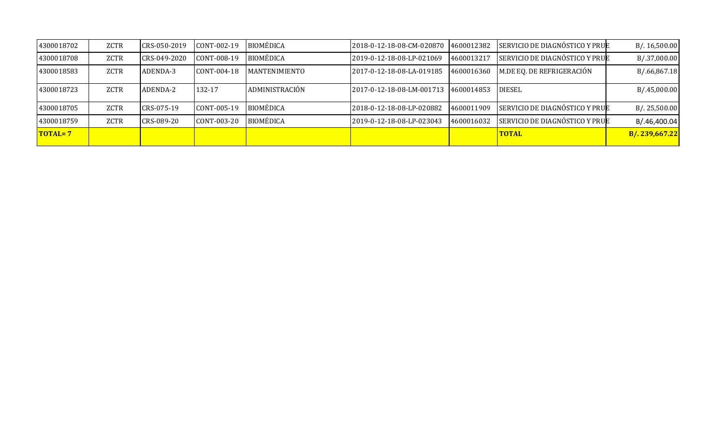| 4300018702 | ZCTR | CRS-050-2019 | CONT-002-19 | <b>BIOMÉDICA</b>     | l2018-0-12-18-08-CM-020870 | 4600012382 | SERVICIO DE DIAGNÓSTICO Y PRUE | B/.16,500.00  |
|------------|------|--------------|-------------|----------------------|----------------------------|------------|--------------------------------|---------------|
| 4300018708 | ZCTR | CRS-049-2020 | CONT-008-19 | <b>BIOMÉDICA</b>     | l2019-0-12-18-08-LP-021069 | 4600013217 | SERVICIO DE DIAGNÓSTICO Y PRUE | B/.37,000.00  |
| 4300018583 | ZCTR | ADENDA-3     | CONT-004-18 | <b>MANTENIMIENTO</b> | 2017-0-12-18-08-LA-019185  | 4600016360 | M.DE EQ. DE REFRIGERACIÓN      | B/.66,867.18  |
| 4300018723 | ZCTR | ADENDA-2     | 132-17      | ADMINISTRACIÓN       | 2017-0-12-18-08-LM-001713  | 4600014853 | <b>DIESEL</b>                  | B/0.45,000.00 |
| 4300018705 | ZCTR | CRS-075-19   | CONT-005-19 | <b>BIOMÉDICA</b>     | l2018-0-12-18-08-LP-020882 | 4600011909 | SERVICIO DE DIAGNÓSTICO Y PRUE | B/.25,500.00  |
| 4300018759 | ZCTR | CRS-089-20   | CONT-003-20 | <b>BIOMÉDICA</b>     | 2019-0-12-18-08-LP-023043  | 4600016032 | SERVICIO DE DIAGNÓSTICO Y PRUE | B/.46,400.04  |
| TOTAL=7    |      |              |             |                      |                            |            | <b>TOTAL</b>                   | B/.239,667.22 |